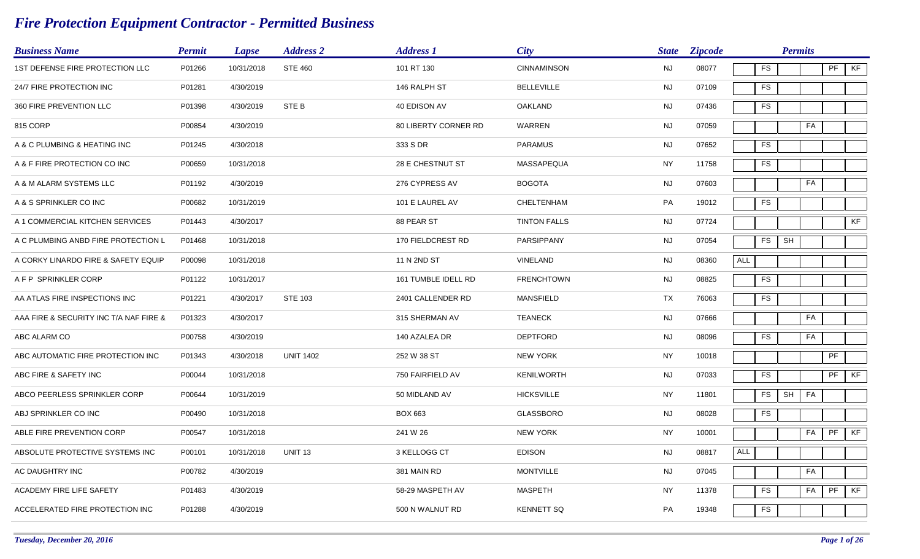## *Fire Protection Equipment Contractor - Permitted Business*

| <b>Business Name</b>                   | <b>Permit</b> | <b>Lapse</b> | <b>Address 2</b> | <b>Address 1</b>     | <b>City</b>         | <b>State</b> | <b>Zipcode</b> |     |            | <b>Permits</b> |    |                            |    |
|----------------------------------------|---------------|--------------|------------------|----------------------|---------------------|--------------|----------------|-----|------------|----------------|----|----------------------------|----|
| 1ST DEFENSE FIRE PROTECTION LLC        | P01266        | 10/31/2018   | <b>STE 460</b>   | 101 RT 130           | <b>CINNAMINSON</b>  | <b>NJ</b>    | 08077          |     | ${\sf FS}$ |                |    | PF                         | KF |
| 24/7 FIRE PROTECTION INC               | P01281        | 4/30/2019    |                  | 146 RALPH ST         | <b>BELLEVILLE</b>   | <b>NJ</b>    | 07109          |     | ${\sf FS}$ |                |    |                            |    |
| 360 FIRE PREVENTION LLC                | P01398        | 4/30/2019    | STE B            | 40 EDISON AV         | <b>OAKLAND</b>      | <b>NJ</b>    | 07436          |     | <b>FS</b>  |                |    |                            |    |
| 815 CORP                               | P00854        | 4/30/2019    |                  | 80 LIBERTY CORNER RD | WARREN              | <b>NJ</b>    | 07059          |     |            |                | FA |                            |    |
| A & C PLUMBING & HEATING INC           | P01245        | 4/30/2018    |                  | 333 S DR             | <b>PARAMUS</b>      | <b>NJ</b>    | 07652          |     | FS         |                |    |                            |    |
| A & F FIRE PROTECTION CO INC           | P00659        | 10/31/2018   |                  | 28 E CHESTNUT ST     | MASSAPEQUA          | <b>NY</b>    | 11758          |     | FS         |                |    |                            |    |
| A & M ALARM SYSTEMS LLC                | P01192        | 4/30/2019    |                  | 276 CYPRESS AV       | <b>BOGOTA</b>       | <b>NJ</b>    | 07603          |     |            |                | FA |                            |    |
| A & S SPRINKLER CO INC                 | P00682        | 10/31/2019   |                  | 101 E LAUREL AV      | <b>CHELTENHAM</b>   | PA           | 19012          |     | ${\sf FS}$ |                |    |                            |    |
| A 1 COMMERCIAL KITCHEN SERVICES        | P01443        | 4/30/2017    |                  | 88 PEAR ST           | <b>TINTON FALLS</b> | <b>NJ</b>    | 07724          |     |            |                |    |                            | KF |
| A C PLUMBING ANBD FIRE PROTECTION L    | P01468        | 10/31/2018   |                  | 170 FIELDCREST RD    | PARSIPPANY          | <b>NJ</b>    | 07054          |     | FS         | SH             |    |                            |    |
| A CORKY LINARDO FIRE & SAFETY EQUIP    | P00098        | 10/31/2018   |                  | 11 N 2ND ST          | VINELAND            | <b>NJ</b>    | 08360          | ALL |            |                |    |                            |    |
| A F P SPRINKLER CORP                   | P01122        | 10/31/2017   |                  | 161 TUMBLE IDELL RD  | <b>FRENCHTOWN</b>   | <b>NJ</b>    | 08825          |     | <b>FS</b>  |                |    |                            |    |
| AA ATLAS FIRE INSPECTIONS INC          | P01221        | 4/30/2017    | <b>STE 103</b>   | 2401 CALLENDER RD    | <b>MANSFIELD</b>    | TX           | 76063          |     | ${\sf FS}$ |                |    |                            |    |
| AAA FIRE & SECURITY INC T/A NAF FIRE & | P01323        | 4/30/2017    |                  | 315 SHERMAN AV       | <b>TEANECK</b>      | <b>NJ</b>    | 07666          |     |            |                | FA |                            |    |
| ABC ALARM CO                           | P00758        | 4/30/2019    |                  | 140 AZALEA DR        | <b>DEPTFORD</b>     | NJ           | 08096          |     | <b>FS</b>  |                | FA |                            |    |
| ABC AUTOMATIC FIRE PROTECTION INC      | P01343        | 4/30/2018    | <b>UNIT 1402</b> | 252 W 38 ST          | <b>NEW YORK</b>     | <b>NY</b>    | 10018          |     |            |                |    | $\ensuremath{\mathsf{PF}}$ |    |
| ABC FIRE & SAFETY INC                  | P00044        | 10/31/2018   |                  | 750 FAIRFIELD AV     | <b>KENILWORTH</b>   | NJ           | 07033          |     | ${\sf FS}$ |                |    | PF                         | KF |
| ABCO PEERLESS SPRINKLER CORP           | P00644        | 10/31/2019   |                  | 50 MIDLAND AV        | <b>HICKSVILLE</b>   | <b>NY</b>    | 11801          |     | <b>FS</b>  | SH             | FA |                            |    |
| ABJ SPRINKLER CO INC                   | P00490        | 10/31/2018   |                  | <b>BOX 663</b>       | <b>GLASSBORO</b>    | NJ           | 08028          |     | ${\sf FS}$ |                |    |                            |    |
| ABLE FIRE PREVENTION CORP              | P00547        | 10/31/2018   |                  | 241 W 26             | <b>NEW YORK</b>     | <b>NY</b>    | 10001          |     |            |                | FA | PF                         | KF |
| ABSOLUTE PROTECTIVE SYSTEMS INC        | P00101        | 10/31/2018   | <b>UNIT 13</b>   | 3 KELLOGG CT         | <b>EDISON</b>       | <b>NJ</b>    | 08817          | ALL |            |                |    |                            |    |
| AC DAUGHTRY INC                        | P00782        | 4/30/2019    |                  | 381 MAIN RD          | <b>MONTVILLE</b>    | <b>NJ</b>    | 07045          |     |            |                | FA |                            |    |
| ACADEMY FIRE LIFE SAFETY               | P01483        | 4/30/2019    |                  | 58-29 MASPETH AV     | <b>MASPETH</b>      | <b>NY</b>    | 11378          |     | ${\sf FS}$ |                | FA | PF                         | KF |
| ACCELERATED FIRE PROTECTION INC        | P01288        | 4/30/2019    |                  | 500 N WALNUT RD      | <b>KENNETT SQ</b>   | <b>PA</b>    | 19348          |     | <b>FS</b>  |                |    |                            |    |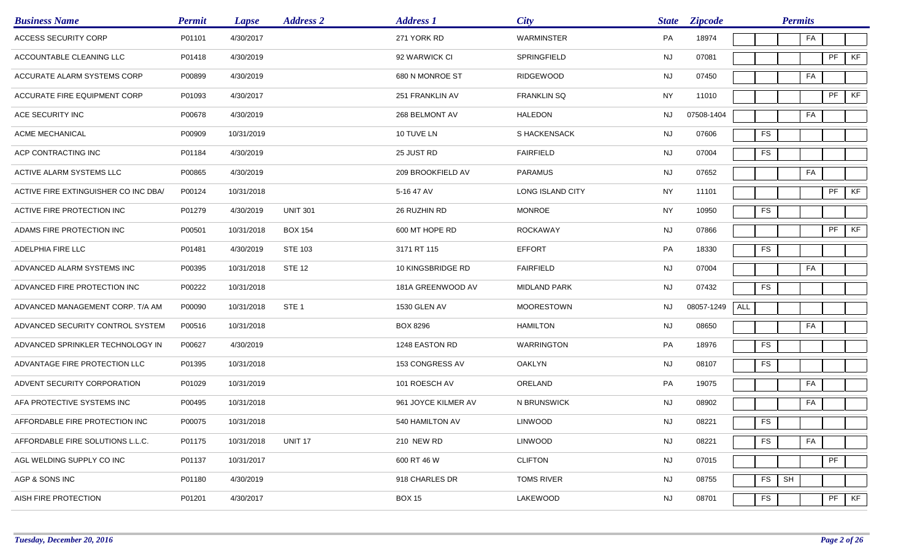| <b>Business Name</b>                 | <b>Permit</b> | Lapse      | <b>Address 2</b> | <b>Address 1</b>    | <b>City</b>        |           | <b>State Zipcode</b> |                        | <b>Permits</b>       |    |    |    |
|--------------------------------------|---------------|------------|------------------|---------------------|--------------------|-----------|----------------------|------------------------|----------------------|----|----|----|
| <b>ACCESS SECURITY CORP</b>          | P01101        | 4/30/2017  |                  | 271 YORK RD         | <b>WARMINSTER</b>  | PA        | 18974                |                        |                      | FA |    |    |
| ACCOUNTABLE CLEANING LLC             | P01418        | 4/30/2019  |                  | 92 WARWICK CI       | SPRINGFIELD        | NJ        | 07081                |                        |                      |    | PF | KF |
| ACCURATE ALARM SYSTEMS CORP          | P00899        | 4/30/2019  |                  | 680 N MONROE ST     | <b>RIDGEWOOD</b>   | <b>NJ</b> | 07450                |                        |                      | FA |    |    |
| ACCURATE FIRE EQUIPMENT CORP         | P01093        | 4/30/2017  |                  | 251 FRANKLIN AV     | <b>FRANKLIN SQ</b> | <b>NY</b> | 11010                |                        |                      |    | PF | KF |
| ACE SECURITY INC                     | P00678        | 4/30/2019  |                  | 268 BELMONT AV      | <b>HALEDON</b>     | NJ        | 07508-1404           |                        |                      | FA |    |    |
| ACME MECHANICAL                      | P00909        | 10/31/2019 |                  | 10 TUVE LN          | S HACKENSACK       | NJ        | 07606                | <b>FS</b>              |                      |    |    |    |
| ACP CONTRACTING INC                  | P01184        | 4/30/2019  |                  | 25 JUST RD          | <b>FAIRFIELD</b>   | <b>NJ</b> | 07004                | <b>FS</b>              |                      |    |    |    |
| ACTIVE ALARM SYSTEMS LLC             | P00865        | 4/30/2019  |                  | 209 BROOKFIELD AV   | PARAMUS            | <b>NJ</b> | 07652                |                        |                      | FA |    |    |
| ACTIVE FIRE EXTINGUISHER CO INC DBA/ | P00124        | 10/31/2018 |                  | 5-16 47 AV          | LONG ISLAND CITY   | <b>NY</b> | 11101                |                        |                      |    | PF | KF |
| ACTIVE FIRE PROTECTION INC           | P01279        | 4/30/2019  | <b>UNIT 301</b>  | 26 RUZHIN RD        | <b>MONROE</b>      | <b>NY</b> | 10950                | <b>FS</b>              |                      |    |    |    |
| ADAMS FIRE PROTECTION INC            | P00501        | 10/31/2018 | <b>BOX 154</b>   | 600 MT HOPE RD      | <b>ROCKAWAY</b>    | <b>NJ</b> | 07866                |                        |                      |    | PF | KF |
| ADELPHIA FIRE LLC                    | P01481        | 4/30/2019  | <b>STE 103</b>   | 3171 RT 115         | <b>EFFORT</b>      | PA        | 18330                | <b>FS</b>              |                      |    |    |    |
| ADVANCED ALARM SYSTEMS INC           | P00395        | 10/31/2018 | <b>STE 12</b>    | 10 KINGSBRIDGE RD   | <b>FAIRFIELD</b>   | <b>NJ</b> | 07004                |                        |                      | FA |    |    |
| ADVANCED FIRE PROTECTION INC         | P00222        | 10/31/2018 |                  | 181A GREENWOOD AV   | MIDLAND PARK       | <b>NJ</b> | 07432                | <b>FS</b>              |                      |    |    |    |
| ADVANCED MANAGEMENT CORP. T/A AM     | P00090        | 10/31/2018 | STE <sub>1</sub> | 1530 GLEN AV        | <b>MOORESTOWN</b>  | NJ.       | 08057-1249           | ALL                    |                      |    |    |    |
| ADVANCED SECURITY CONTROL SYSTEM     | P00516        | 10/31/2018 |                  | <b>BOX 8296</b>     | <b>HAMILTON</b>    | <b>NJ</b> | 08650                |                        |                      | FA |    |    |
| ADVANCED SPRINKLER TECHNOLOGY IN     | P00627        | 4/30/2019  |                  | 1248 EASTON RD      | <b>WARRINGTON</b>  | PA        | 18976                | <b>FS</b>              |                      |    |    |    |
| ADVANTAGE FIRE PROTECTION LLC        | P01395        | 10/31/2018 |                  | 153 CONGRESS AV     | <b>OAKLYN</b>      | <b>NJ</b> | 08107                | <b>FS</b>              |                      |    |    |    |
| ADVENT SECURITY CORPORATION          | P01029        | 10/31/2019 |                  | 101 ROESCH AV       | ORELAND            | PA        | 19075                |                        |                      | FA |    |    |
| AFA PROTECTIVE SYSTEMS INC           | P00495        | 10/31/2018 |                  | 961 JOYCE KILMER AV | N BRUNSWICK        | <b>NJ</b> | 08902                |                        |                      | FA |    |    |
| AFFORDABLE FIRE PROTECTION INC       | P00075        | 10/31/2018 |                  | 540 HAMILTON AV     | <b>LINWOOD</b>     | NJ        | 08221                | <b>FS</b>              |                      |    |    |    |
| AFFORDABLE FIRE SOLUTIONS L.L.C.     | P01175        | 10/31/2018 | UNIT 17          | 210 NEW RD          | <b>LINWOOD</b>     | <b>NJ</b> | 08221                | $\mathop{\mathsf{FS}}$ |                      | FA |    |    |
| AGL WELDING SUPPLY CO INC            | P01137        | 10/31/2017 |                  | 600 RT 46 W         | <b>CLIFTON</b>     | <b>NJ</b> | 07015                |                        |                      |    | PF |    |
| AGP & SONS INC                       | P01180        | 4/30/2019  |                  | 918 CHARLES DR      | <b>TOMS RIVER</b>  | NJ        | 08755                | $\mathop{\mathsf{FS}}$ | $\mathsf{SH}\xspace$ |    |    |    |
| AISH FIRE PROTECTION                 | P01201        | 4/30/2017  |                  | <b>BOX 15</b>       | LAKEWOOD           | <b>NJ</b> | 08701                | $\mathop{\mathsf{FS}}$ |                      |    | PF | KF |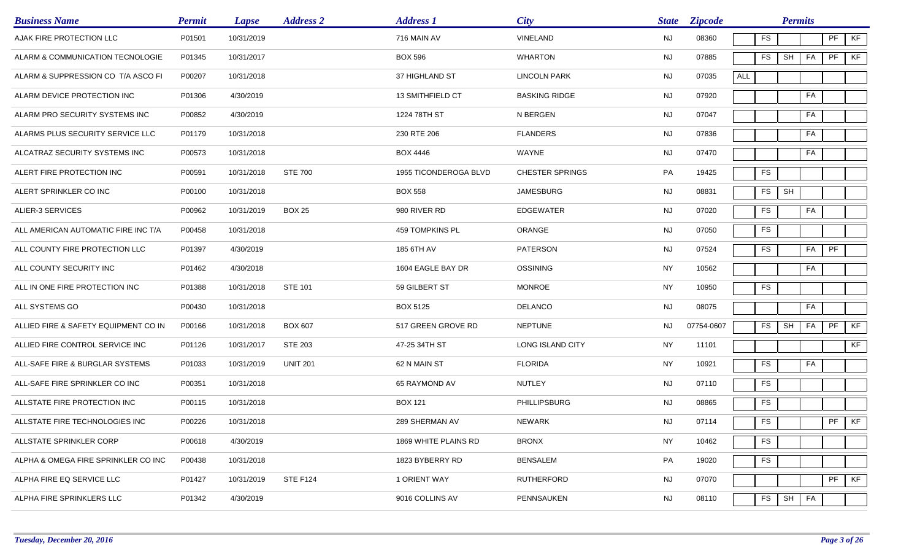| <b>Business Name</b>                 | <b>Permit</b> | <b>Lapse</b> | <b>Address 2</b> | <b>Address 1</b>      | City                   | <b>State</b> | <b>Zipcode</b> |     |            | <b>Permits</b> |    |           |    |
|--------------------------------------|---------------|--------------|------------------|-----------------------|------------------------|--------------|----------------|-----|------------|----------------|----|-----------|----|
| AJAK FIRE PROTECTION LLC             | P01501        | 10/31/2019   |                  | 716 MAIN AV           | VINELAND               | <b>NJ</b>    | 08360          |     | <b>FS</b>  |                |    | PF        | KF |
| ALARM & COMMUNICATION TECNOLOGIE     | P01345        | 10/31/2017   |                  | <b>BOX 596</b>        | <b>WHARTON</b>         | <b>NJ</b>    | 07885          |     | <b>FS</b>  | SH             | FA | PF        | KF |
| ALARM & SUPPRESSION CO T/A ASCO FI   | P00207        | 10/31/2018   |                  | 37 HIGHLAND ST        | <b>LINCOLN PARK</b>    | <b>NJ</b>    | 07035          | ALL |            |                |    |           |    |
| ALARM DEVICE PROTECTION INC          | P01306        | 4/30/2019    |                  | 13 SMITHFIELD CT      | <b>BASKING RIDGE</b>   | <b>NJ</b>    | 07920          |     |            |                | FA |           |    |
| ALARM PRO SECURITY SYSTEMS INC       | P00852        | 4/30/2019    |                  | 1224 78TH ST          | N BERGEN               | <b>NJ</b>    | 07047          |     |            |                | FA |           |    |
| ALARMS PLUS SECURITY SERVICE LLC     | P01179        | 10/31/2018   |                  | 230 RTE 206           | <b>FLANDERS</b>        | <b>NJ</b>    | 07836          |     |            |                | FA |           |    |
| ALCATRAZ SECURITY SYSTEMS INC        | P00573        | 10/31/2018   |                  | <b>BOX 4446</b>       | WAYNE                  | <b>NJ</b>    | 07470          |     |            |                | FA |           |    |
| ALERT FIRE PROTECTION INC            | P00591        | 10/31/2018   | <b>STE 700</b>   | 1955 TICONDEROGA BLVD | <b>CHESTER SPRINGS</b> | PA           | 19425          |     | <b>FS</b>  |                |    |           |    |
| ALERT SPRINKLER CO INC               | P00100        | 10/31/2018   |                  | <b>BOX 558</b>        | <b>JAMESBURG</b>       | <b>NJ</b>    | 08831          |     | <b>FS</b>  | SH             |    |           |    |
| ALIER-3 SERVICES                     | P00962        | 10/31/2019   | <b>BOX 25</b>    | 980 RIVER RD          | <b>EDGEWATER</b>       | <b>NJ</b>    | 07020          |     | <b>FS</b>  |                | FA |           |    |
| ALL AMERICAN AUTOMATIC FIRE INC T/A  | P00458        | 10/31/2018   |                  | 459 TOMPKINS PL       | <b>ORANGE</b>          | <b>NJ</b>    | 07050          |     | <b>FS</b>  |                |    |           |    |
| ALL COUNTY FIRE PROTECTION LLC       | P01397        | 4/30/2019    |                  | 185 6TH AV            | <b>PATERSON</b>        | <b>NJ</b>    | 07524          |     | <b>FS</b>  |                | FA | PF        |    |
| ALL COUNTY SECURITY INC              | P01462        | 4/30/2018    |                  | 1604 EAGLE BAY DR     | <b>OSSINING</b>        | <b>NY</b>    | 10562          |     |            |                | FA |           |    |
| ALL IN ONE FIRE PROTECTION INC       | P01388        | 10/31/2018   | <b>STE 101</b>   | 59 GILBERT ST         | <b>MONROE</b>          | <b>NY</b>    | 10950          |     | <b>FS</b>  |                |    |           |    |
| ALL SYSTEMS GO                       | P00430        | 10/31/2018   |                  | <b>BOX 5125</b>       | <b>DELANCO</b>         | <b>NJ</b>    | 08075          |     |            |                | FA |           |    |
| ALLIED FIRE & SAFETY EQUIPMENT CO IN | P00166        | 10/31/2018   | <b>BOX 607</b>   | 517 GREEN GROVE RD    | <b>NEPTUNE</b>         | NJ.          | 07754-0607     |     | <b>FS</b>  | <b>SH</b>      | FA | PF        | KF |
| ALLIED FIRE CONTROL SERVICE INC      | P01126        | 10/31/2017   | STE 203          | 47-25 34TH ST         | LONG ISLAND CITY       | <b>NY</b>    | 11101          |     |            |                |    |           | KF |
| ALL-SAFE FIRE & BURGLAR SYSTEMS      | P01033        | 10/31/2019   | <b>UNIT 201</b>  | 62 N MAIN ST          | <b>FLORIDA</b>         | <b>NY</b>    | 10921          |     | <b>FS</b>  |                | FA |           |    |
| ALL-SAFE FIRE SPRINKLER CO INC       | P00351        | 10/31/2018   |                  | 65 RAYMOND AV         | <b>NUTLEY</b>          | <b>NJ</b>    | 07110          |     | <b>FS</b>  |                |    |           |    |
| ALLSTATE FIRE PROTECTION INC         | P00115        | 10/31/2018   |                  | <b>BOX 121</b>        | PHILLIPSBURG           | <b>NJ</b>    | 08865          |     | <b>FS</b>  |                |    |           |    |
| ALLSTATE FIRE TECHNOLOGIES INC       | P00226        | 10/31/2018   |                  | 289 SHERMAN AV        | NEWARK                 | <b>NJ</b>    | 07114          |     | ${\sf FS}$ |                |    | $PF$ $KF$ |    |
| ALLSTATE SPRINKLER CORP              | P00618        | 4/30/2019    |                  | 1869 WHITE PLAINS RD  | <b>BRONX</b>           | <b>NY</b>    | 10462          |     | FS         |                |    |           |    |
| ALPHA & OMEGA FIRE SPRINKLER CO INC  | P00438        | 10/31/2018   |                  | 1823 BYBERRY RD       | <b>BENSALEM</b>        | PA           | 19020          |     | ${\sf FS}$ |                |    |           |    |
| ALPHA FIRE EQ SERVICE LLC            | P01427        | 10/31/2019   | <b>STE F124</b>  | 1 ORIENT WAY          | <b>RUTHERFORD</b>      | <b>NJ</b>    | 07070          |     |            |                |    | PF        | KF |
| ALPHA FIRE SPRINKLERS LLC            | P01342        | 4/30/2019    |                  | 9016 COLLINS AV       | PENNSAUKEN             | <b>NJ</b>    | 08110          |     | FS         | <b>SH</b>      | FA |           |    |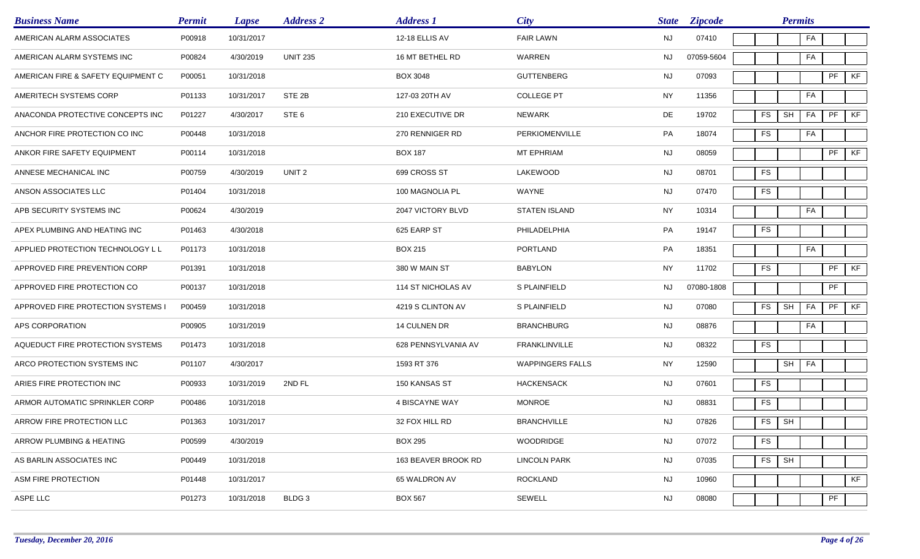| <b>Business Name</b>               | <b>Permit</b> | <b>Lapse</b> | <b>Address 2</b>  | <b>Address 1</b>    | <b>City</b>             | <b>State</b> | <b>Zipcode</b> |           | <b>Permits</b>       |    |    |    |
|------------------------------------|---------------|--------------|-------------------|---------------------|-------------------------|--------------|----------------|-----------|----------------------|----|----|----|
| AMERICAN ALARM ASSOCIATES          | P00918        | 10/31/2017   |                   | 12-18 ELLIS AV      | <b>FAIR LAWN</b>        | <b>NJ</b>    | 07410          |           |                      | FA |    |    |
| AMERICAN ALARM SYSTEMS INC         | P00824        | 4/30/2019    | <b>UNIT 235</b>   | 16 MT BETHEL RD     | WARREN                  | NJ.          | 07059-5604     |           |                      | FA |    |    |
| AMERICAN FIRE & SAFETY EQUIPMENT C | P00051        | 10/31/2018   |                   | <b>BOX 3048</b>     | <b>GUTTENBERG</b>       | <b>NJ</b>    | 07093          |           |                      |    | PF | KF |
| AMERITECH SYSTEMS CORP             | P01133        | 10/31/2017   | STE 2B            | 127-03 20TH AV      | <b>COLLEGE PT</b>       | <b>NY</b>    | 11356          |           |                      | FA |    |    |
| ANACONDA PROTECTIVE CONCEPTS INC   | P01227        | 4/30/2017    | STE <sub>6</sub>  | 210 EXECUTIVE DR    | <b>NEWARK</b>           | DE           | 19702          | FS        | SH                   | FA | PF | KF |
| ANCHOR FIRE PROTECTION CO INC      | P00448        | 10/31/2018   |                   | 270 RENNIGER RD     | PERKIOMENVILLE          | PA           | 18074          | FS        |                      | FA |    |    |
| ANKOR FIRE SAFETY EQUIPMENT        | P00114        | 10/31/2018   |                   | <b>BOX 187</b>      | MT EPHRIAM              | <b>NJ</b>    | 08059          |           |                      |    | PF | KF |
| ANNESE MECHANICAL INC              | P00759        | 4/30/2019    | UNIT <sub>2</sub> | 699 CROSS ST        | LAKEWOOD                | <b>NJ</b>    | 08701          | <b>FS</b> |                      |    |    |    |
| ANSON ASSOCIATES LLC               | P01404        | 10/31/2018   |                   | 100 MAGNOLIA PL     | WAYNE                   | <b>NJ</b>    | 07470          | <b>FS</b> |                      |    |    |    |
| APB SECURITY SYSTEMS INC           | P00624        | 4/30/2019    |                   | 2047 VICTORY BLVD   | <b>STATEN ISLAND</b>    | <b>NY</b>    | 10314          |           |                      | FA |    |    |
| APEX PLUMBING AND HEATING INC      | P01463        | 4/30/2018    |                   | 625 EARP ST         | PHILADELPHIA            | PA           | 19147          | FS        |                      |    |    |    |
| APPLIED PROTECTION TECHNOLOGY L L  | P01173        | 10/31/2018   |                   | <b>BOX 215</b>      | PORTLAND                | PA           | 18351          |           |                      | FA |    |    |
| APPROVED FIRE PREVENTION CORP      | P01391        | 10/31/2018   |                   | 380 W MAIN ST       | <b>BABYLON</b>          | <b>NY</b>    | 11702          | <b>FS</b> |                      |    | PF | KF |
| APPROVED FIRE PROTECTION CO        | P00137        | 10/31/2018   |                   | 114 ST NICHOLAS AV  | S PLAINFIELD            | <b>NJ</b>    | 07080-1808     |           |                      |    | PF |    |
| APPROVED FIRE PROTECTION SYSTEMS I | P00459        | 10/31/2018   |                   | 4219 S CLINTON AV   | S PLAINFIELD            | <b>NJ</b>    | 07080          | FS        | $\mathsf{SH}\xspace$ | FA | PF | KF |
| APS CORPORATION                    | P00905        | 10/31/2019   |                   | 14 CULNEN DR        | <b>BRANCHBURG</b>       | <b>NJ</b>    | 08876          |           |                      | FA |    |    |
| AQUEDUCT FIRE PROTECTION SYSTEMS   | P01473        | 10/31/2018   |                   | 628 PENNSYLVANIA AV | <b>FRANKLINVILLE</b>    | NJ           | 08322          | <b>FS</b> |                      |    |    |    |
| ARCO PROTECTION SYSTEMS INC        | P01107        | 4/30/2017    |                   | 1593 RT 376         | <b>WAPPINGERS FALLS</b> | NY           | 12590          |           | SH                   | FA |    |    |
| ARIES FIRE PROTECTION INC          | P00933        | 10/31/2019   | 2ND FL            | 150 KANSAS ST       | <b>HACKENSACK</b>       | <b>NJ</b>    | 07601          | <b>FS</b> |                      |    |    |    |
| ARMOR AUTOMATIC SPRINKLER CORP     | P00486        | 10/31/2018   |                   | 4 BISCAYNE WAY      | <b>MONROE</b>           | <b>NJ</b>    | 08831          | <b>FS</b> |                      |    |    |    |
| ARROW FIRE PROTECTION LLC          | P01363        | 10/31/2017   |                   | 32 FOX HILL RD      | <b>BRANCHVILLE</b>      | NJ           | 07826          | FS        | SH                   |    |    |    |
| ARROW PLUMBING & HEATING           | P00599        | 4/30/2019    |                   | <b>BOX 295</b>      | <b>WOODRIDGE</b>        | <b>NJ</b>    | 07072          | <b>FS</b> |                      |    |    |    |
| AS BARLIN ASSOCIATES INC           | P00449        | 10/31/2018   |                   | 163 BEAVER BROOK RD | <b>LINCOLN PARK</b>     | <b>NJ</b>    | 07035          | <b>FS</b> | SH                   |    |    |    |
| ASM FIRE PROTECTION                | P01448        | 10/31/2017   |                   | 65 WALDRON AV       | <b>ROCKLAND</b>         | NJ           | 10960          |           |                      |    |    | KF |
| ASPE LLC                           | P01273        | 10/31/2018   | BLDG 3            | <b>BOX 567</b>      | SEWELL                  | <b>NJ</b>    | 08080          |           |                      |    | PF |    |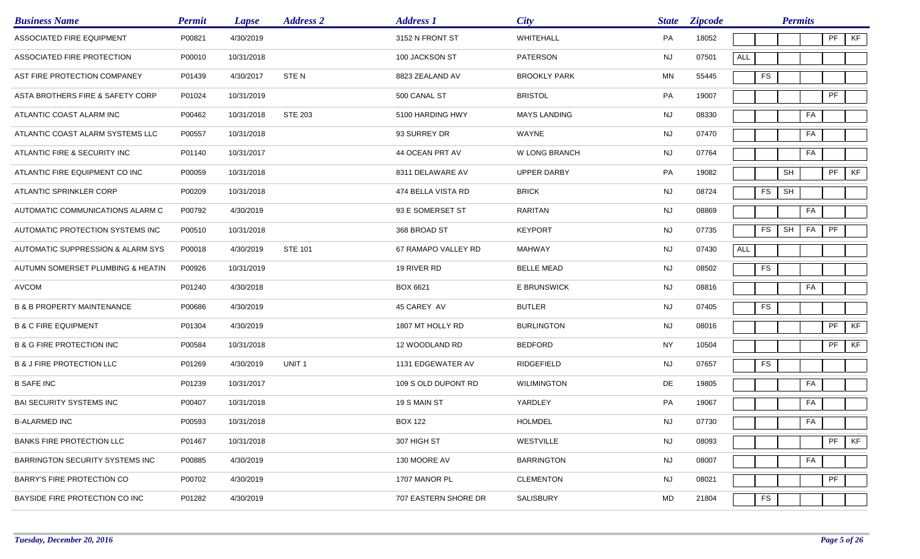| <b>Business Name</b>                  | <b>Permit</b> | <b>Lapse</b> | <b>Address 2</b>  | <b>Address 1</b>     | <b>City</b>          | <b>State</b> | <b>Zipcode</b> |            |            | <b>Permits</b> |    |    |
|---------------------------------------|---------------|--------------|-------------------|----------------------|----------------------|--------------|----------------|------------|------------|----------------|----|----|
| ASSOCIATED FIRE EQUIPMENT             | P00821        | 4/30/2019    |                   | 3152 N FRONT ST      | WHITEHALL            | PA           | 18052          |            |            |                | PF | KF |
| ASSOCIATED FIRE PROTECTION            | P00010        | 10/31/2018   |                   | 100 JACKSON ST       | <b>PATERSON</b>      | <b>NJ</b>    | 07501          | <b>ALL</b> |            |                |    |    |
| AST FIRE PROTECTION COMPANEY          | P01439        | 4/30/2017    | STE <sub>N</sub>  | 8823 ZEALAND AV      | <b>BROOKLY PARK</b>  | <b>MN</b>    | 55445          |            | FS         |                |    |    |
| ASTA BROTHERS FIRE & SAFETY CORP      | P01024        | 10/31/2019   |                   | 500 CANAL ST         | <b>BRISTOL</b>       | PA           | 19007          |            |            |                | PF |    |
| ATLANTIC COAST ALARM INC              | P00462        | 10/31/2018   | <b>STE 203</b>    | 5100 HARDING HWY     | <b>MAYS LANDING</b>  | <b>NJ</b>    | 08330          |            |            | FA             |    |    |
| ATLANTIC COAST ALARM SYSTEMS LLC      | P00557        | 10/31/2018   |                   | 93 SURREY DR         | WAYNE                | <b>NJ</b>    | 07470          |            |            | FA             |    |    |
| ATLANTIC FIRE & SECURITY INC          | P01140        | 10/31/2017   |                   | 44 OCEAN PRT AV      | <b>W LONG BRANCH</b> | <b>NJ</b>    | 07764          |            |            | FA             |    |    |
| ATLANTIC FIRE EQUIPMENT CO INC        | P00059        | 10/31/2018   |                   | 8311 DELAWARE AV     | <b>UPPER DARBY</b>   | PA           | 19082          |            |            | SH             | PF | KF |
| ATLANTIC SPRINKLER CORP               | P00209        | 10/31/2018   |                   | 474 BELLA VISTA RD   | <b>BRICK</b>         | <b>NJ</b>    | 08724          |            | ${\sf FS}$ | SH             |    |    |
| AUTOMATIC COMMUNICATIONS ALARM C      | P00792        | 4/30/2019    |                   | 93 E SOMERSET ST     | <b>RARITAN</b>       | <b>NJ</b>    | 08869          |            |            | FA             |    |    |
| AUTOMATIC PROTECTION SYSTEMS INC      | P00510        | 10/31/2018   |                   | 368 BROAD ST         | <b>KEYPORT</b>       | <b>NJ</b>    | 07735          |            | FS         | SH<br>FA       | PF |    |
| AUTOMATIC SUPPRESSION & ALARM SYS     | P00018        | 4/30/2019    | <b>STE 101</b>    | 67 RAMAPO VALLEY RD  | <b>MAHWAY</b>        | <b>NJ</b>    | 07430          | <b>ALL</b> |            |                |    |    |
| AUTUMN SOMERSET PLUMBING & HEATIN     | P00926        | 10/31/2019   |                   | 19 RIVER RD          | <b>BELLE MEAD</b>    | <b>NJ</b>    | 08502          |            | <b>FS</b>  |                |    |    |
| <b>AVCOM</b>                          | P01240        | 4/30/2018    |                   | BOX 6621             | <b>E BRUNSWICK</b>   | <b>NJ</b>    | 08816          |            |            | FA             |    |    |
| <b>B &amp; B PROPERTY MAINTENANCE</b> | P00686        | 4/30/2019    |                   | 45 CAREY AV          | <b>BUTLER</b>        | <b>NJ</b>    | 07405          |            | FS         |                |    |    |
| <b>B &amp; C FIRE EQUIPMENT</b>       | P01304        | 4/30/2019    |                   | 1807 MT HOLLY RD     | <b>BURLINGTON</b>    | <b>NJ</b>    | 08016          |            |            |                | PF | KF |
| <b>B &amp; G FIRE PROTECTION INC</b>  | P00584        | 10/31/2018   |                   | 12 WOODLAND RD       | <b>BEDFORD</b>       | <b>NY</b>    | 10504          |            |            |                | PF | KF |
| <b>B &amp; J FIRE PROTECTION LLC</b>  | P01269        | 4/30/2019    | UNIT <sub>1</sub> | 1131 EDGEWATER AV    | RIDGEFIELD           | <b>NJ</b>    | 07657          |            | ${\sf FS}$ |                |    |    |
| <b>B SAFE INC</b>                     | P01239        | 10/31/2017   |                   | 109 S OLD DUPONT RD  | <b>WILIMINGTON</b>   | DE           | 19805          |            |            | FA             |    |    |
| <b>BAI SECURITY SYSTEMS INC</b>       | P00407        | 10/31/2018   |                   | 19 S MAIN ST         | YARDLEY              | PA           | 19067          |            |            | FA             |    |    |
| <b>B-ALARMED INC</b>                  | P00593        | 10/31/2018   |                   | <b>BOX 122</b>       | HOLMDEL              | NJ           | 07730          |            |            | FA             |    |    |
| <b>BANKS FIRE PROTECTION LLC</b>      | P01467        | 10/31/2018   |                   | 307 HIGH ST          | WESTVILLE            | <b>NJ</b>    | 08093          |            |            |                | PF | KF |
| BARRINGTON SECURITY SYSTEMS INC       | P00885        | 4/30/2019    |                   | 130 MOORE AV         | <b>BARRINGTON</b>    | <b>NJ</b>    | 08007          |            |            | FA             |    |    |
| BARRY'S FIRE PROTECTION CO            | P00702        | 4/30/2019    |                   | 1707 MANOR PL        | <b>CLEMENTON</b>     | NJ           | 08021          |            |            |                | PF |    |
| BAYSIDE FIRE PROTECTION CO INC        | P01282        | 4/30/2019    |                   | 707 EASTERN SHORE DR | SALISBURY            | MD           | 21804          |            | FS         |                |    |    |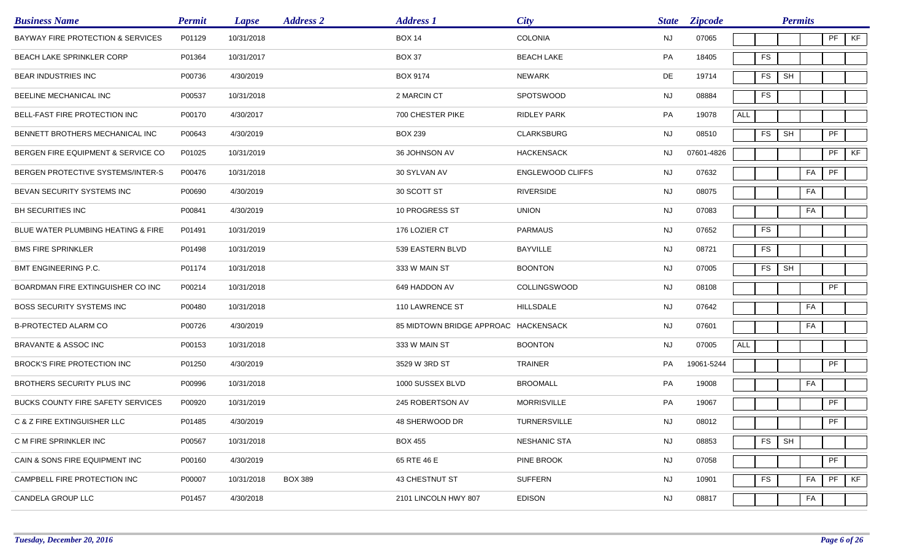| <b>Business Name</b>                     | <b>Permit</b> | <b>Lapse</b> | <b>Address 2</b> | <b>Address 1</b>                     | <b>City</b>             | <b>State</b> | <b>Zipcode</b> |            |           | <b>Permits</b> |                            |    |
|------------------------------------------|---------------|--------------|------------------|--------------------------------------|-------------------------|--------------|----------------|------------|-----------|----------------|----------------------------|----|
| BAYWAY FIRE PROTECTION & SERVICES        | P01129        | 10/31/2018   |                  | <b>BOX 14</b>                        | <b>COLONIA</b>          | <b>NJ</b>    | 07065          |            |           |                | PF                         | KF |
| <b>BEACH LAKE SPRINKLER CORP</b>         | P01364        | 10/31/2017   |                  | <b>BOX 37</b>                        | <b>BEACH LAKE</b>       | PA           | 18405          | FS         |           |                |                            |    |
| <b>BEAR INDUSTRIES INC</b>               | P00736        | 4/30/2019    |                  | <b>BOX 9174</b>                      | <b>NEWARK</b>           | DE           | 19714          | <b>FS</b>  | <b>SH</b> |                |                            |    |
| BEELINE MECHANICAL INC                   | P00537        | 10/31/2018   |                  | 2 MARCIN CT                          | <b>SPOTSWOOD</b>        | NJ           | 08884          | FS         |           |                |                            |    |
| <b>BELL-FAST FIRE PROTECTION INC</b>     | P00170        | 4/30/2017    |                  | 700 CHESTER PIKE                     | <b>RIDLEY PARK</b>      | PA           | 19078          | <b>ALL</b> |           |                |                            |    |
| BENNETT BROTHERS MECHANICAL INC          | P00643        | 4/30/2019    |                  | <b>BOX 239</b>                       | <b>CLARKSBURG</b>       | <b>NJ</b>    | 08510          | <b>FS</b>  | SH        |                | PF                         |    |
| BERGEN FIRE EQUIPMENT & SERVICE CO       | P01025        | 10/31/2019   |                  | 36 JOHNSON AV                        | <b>HACKENSACK</b>       | NJ.          | 07601-4826     |            |           |                | PF                         | KF |
| BERGEN PROTECTIVE SYSTEMS/INTER-S        | P00476        | 10/31/2018   |                  | 30 SYLVAN AV                         | <b>ENGLEWOOD CLIFFS</b> | <b>NJ</b>    | 07632          |            |           | FA             | $\ensuremath{\mathsf{PF}}$ |    |
| <b>BEVAN SECURITY SYSTEMS INC</b>        | P00690        | 4/30/2019    |                  | 30 SCOTT ST                          | RIVERSIDE               | <b>NJ</b>    | 08075          |            |           | FA             |                            |    |
| BH SECURITIES INC                        | P00841        | 4/30/2019    |                  | 10 PROGRESS ST                       | <b>UNION</b>            | <b>NJ</b>    | 07083          |            |           | FA             |                            |    |
| BLUE WATER PLUMBING HEATING & FIRE       | P01491        | 10/31/2019   |                  | 176 LOZIER CT                        | <b>PARMAUS</b>          | NJ           | 07652          | FS         |           |                |                            |    |
| <b>BMS FIRE SPRINKLER</b>                | P01498        | 10/31/2019   |                  | 539 EASTERN BLVD                     | BAYVILLE                | NJ           | 08721          | ${\sf FS}$ |           |                |                            |    |
| BMT ENGINEERING P.C.                     | P01174        | 10/31/2018   |                  | 333 W MAIN ST                        | <b>BOONTON</b>          | <b>NJ</b>    | 07005          | FS         | SH        |                |                            |    |
| BOARDMAN FIRE EXTINGUISHER CO INC        | P00214        | 10/31/2018   |                  | 649 HADDON AV                        | <b>COLLINGSWOOD</b>     | <b>NJ</b>    | 08108          |            |           |                | PF                         |    |
| <b>BOSS SECURITY SYSTEMS INC</b>         | P00480        | 10/31/2018   |                  | 110 LAWRENCE ST                      | <b>HILLSDALE</b>        | <b>NJ</b>    | 07642          |            |           | FA             |                            |    |
| <b>B-PROTECTED ALARM CO</b>              | P00726        | 4/30/2019    |                  | 85 MIDTOWN BRIDGE APPROAC HACKENSACK |                         | <b>NJ</b>    | 07601          |            |           | FA             |                            |    |
| BRAVANTE & ASSOC INC                     | P00153        | 10/31/2018   |                  | 333 W MAIN ST                        | <b>BOONTON</b>          | NJ           | 07005          | <b>ALL</b> |           |                |                            |    |
| BROCK'S FIRE PROTECTION INC              | P01250        | 4/30/2019    |                  | 3529 W 3RD ST                        | <b>TRAINER</b>          | PA           | 19061-5244     |            |           |                | PF                         |    |
| BROTHERS SECURITY PLUS INC               | P00996        | 10/31/2018   |                  | 1000 SUSSEX BLVD                     | <b>BROOMALL</b>         | PA           | 19008          |            |           | FA             |                            |    |
| <b>BUCKS COUNTY FIRE SAFETY SERVICES</b> | P00920        | 10/31/2019   |                  | 245 ROBERTSON AV                     | <b>MORRISVILLE</b>      | PA           | 19067          |            |           |                | PF                         |    |
| C & Z FIRE EXTINGUISHER LLC              | P01485        | 4/30/2019    |                  | 48 SHERWOOD DR                       | TURNERSVILLE            | NJ           | 08012          |            |           |                | PF                         |    |
| C M FIRE SPRINKLER INC                   | P00567        | 10/31/2018   |                  | <b>BOX 455</b>                       | <b>NESHANIC STA</b>     | <b>NJ</b>    | 08853          | <b>FS</b>  | SH        |                |                            |    |
| CAIN & SONS FIRE EQUIPMENT INC           | P00160        | 4/30/2019    |                  | 65 RTE 46 E                          | PINE BROOK              | <b>NJ</b>    | 07058          |            |           |                | PF                         |    |
| CAMPBELL FIRE PROTECTION INC             | P00007        | 10/31/2018   | <b>BOX 389</b>   | 43 CHESTNUT ST                       | <b>SUFFERN</b>          | <b>NJ</b>    | 10901          | ${\sf FS}$ |           | FA             | PF                         | KF |
| CANDELA GROUP LLC                        | P01457        | 4/30/2018    |                  | 2101 LINCOLN HWY 807                 | <b>EDISON</b>           | <b>NJ</b>    | 08817          |            |           | FA             |                            |    |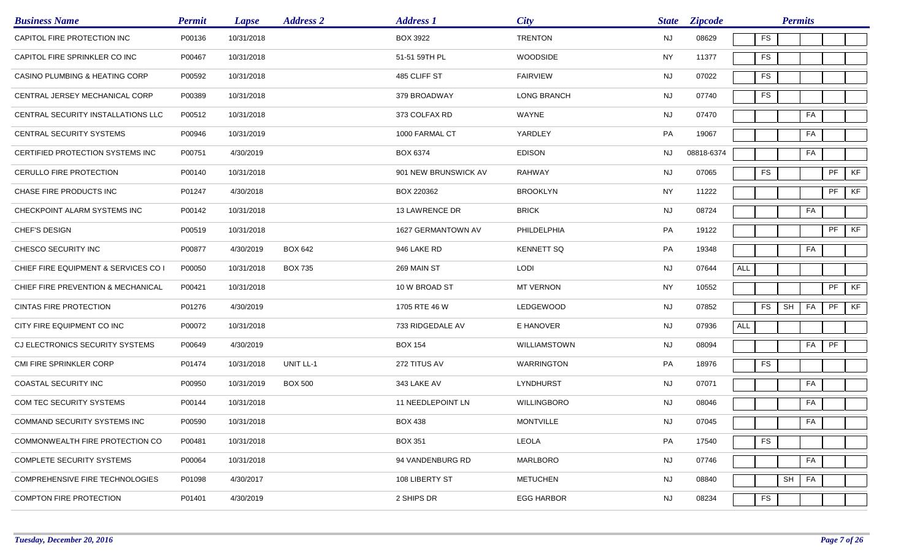| <b>Business Name</b>                 | <b>Permit</b> | <b>Lapse</b> | <b>Address 2</b> | <b>Address 1</b>     | <b>City</b>       | <b>State</b> | <b>Zipcode</b> |            |               | <b>Permits</b> |    |    |    |
|--------------------------------------|---------------|--------------|------------------|----------------------|-------------------|--------------|----------------|------------|---------------|----------------|----|----|----|
| CAPITOL FIRE PROTECTION INC          | P00136        | 10/31/2018   |                  | <b>BOX 3922</b>      | <b>TRENTON</b>    | <b>NJ</b>    | 08629          |            | FS            |                |    |    |    |
| CAPITOL FIRE SPRINKLER CO INC        | P00467        | 10/31/2018   |                  | 51-51 59TH PL        | <b>WOODSIDE</b>   | <b>NY</b>    | 11377          |            | FS            |                |    |    |    |
| CASINO PLUMBING & HEATING CORP       | P00592        | 10/31/2018   |                  | 485 CLIFF ST         | <b>FAIRVIEW</b>   | <b>NJ</b>    | 07022          |            | FS            |                |    |    |    |
| CENTRAL JERSEY MECHANICAL CORP       | P00389        | 10/31/2018   |                  | 379 BROADWAY         | LONG BRANCH       | NJ           | 07740          |            | ${\sf FS}$    |                |    |    |    |
| CENTRAL SECURITY INSTALLATIONS LLC   | P00512        | 10/31/2018   |                  | 373 COLFAX RD        | WAYNE             | <b>NJ</b>    | 07470          |            |               |                | FA |    |    |
| <b>CENTRAL SECURITY SYSTEMS</b>      | P00946        | 10/31/2019   |                  | 1000 FARMAL CT       | YARDLEY           | PA           | 19067          |            |               |                | FA |    |    |
| CERTIFIED PROTECTION SYSTEMS INC     | P00751        | 4/30/2019    |                  | BOX 6374             | <b>EDISON</b>     | <b>NJ</b>    | 08818-6374     |            |               |                | FA |    |    |
| CERULLO FIRE PROTECTION              | P00140        | 10/31/2018   |                  | 901 NEW BRUNSWICK AV | RAHWAY            | <b>NJ</b>    | 07065          |            | <b>FS</b>     |                |    | PF | KF |
| CHASE FIRE PRODUCTS INC              | P01247        | 4/30/2018    |                  | BOX 220362           | <b>BROOKLYN</b>   | <b>NY</b>    | 11222          |            |               |                |    | PF | KF |
| CHECKPOINT ALARM SYSTEMS INC         | P00142        | 10/31/2018   |                  | 13 LAWRENCE DR       | <b>BRICK</b>      | <b>NJ</b>    | 08724          |            |               |                | FA |    |    |
| CHEF'S DESIGN                        | P00519        | 10/31/2018   |                  | 1627 GERMANTOWN AV   | PHILDELPHIA       | PA           | 19122          |            |               |                |    | PF | KF |
| CHESCO SECURITY INC                  | P00877        | 4/30/2019    | <b>BOX 642</b>   | 946 LAKE RD          | <b>KENNETT SQ</b> | PA           | 19348          |            |               |                | FA |    |    |
| CHIEF FIRE EQUIPMENT & SERVICES CO I | P00050        | 10/31/2018   | <b>BOX 735</b>   | 269 MAIN ST          | LODI              | <b>NJ</b>    | 07644          | ALL        |               |                |    |    |    |
| CHIEF FIRE PREVENTION & MECHANICAL   | P00421        | 10/31/2018   |                  | 10 W BROAD ST        | <b>MT VERNON</b>  | <b>NY</b>    | 10552          |            |               |                |    | PF | KF |
| <b>CINTAS FIRE PROTECTION</b>        | P01276        | 4/30/2019    |                  | 1705 RTE 46 W        | LEDGEWOOD         | <b>NJ</b>    | 07852          |            | <b>FS</b>     | SH             | FA | PF | KF |
| CITY FIRE EQUIPMENT CO INC           | P00072        | 10/31/2018   |                  | 733 RIDGEDALE AV     | E HANOVER         | <b>NJ</b>    | 07936          | <b>ALL</b> |               |                |    |    |    |
| CJ ELECTRONICS SECURITY SYSTEMS      | P00649        | 4/30/2019    |                  | <b>BOX 154</b>       | WILLIAMSTOWN      | NJ           | 08094          |            |               |                | FA | PF |    |
| CMI FIRE SPRINKLER CORP              | P01474        | 10/31/2018   | UNIT LL-1        | 272 TITUS AV         | WARRINGTON        | PA           | 18976          |            | ${\sf FS}$    |                |    |    |    |
| COASTAL SECURITY INC                 | P00950        | 10/31/2019   | <b>BOX 500</b>   | 343 LAKE AV          | LYNDHURST         | <b>NJ</b>    | 07071          |            |               |                | FA |    |    |
| COM TEC SECURITY SYSTEMS             | P00144        | 10/31/2018   |                  | 11 NEEDLEPOINT LN    | WILLINGBORO       | <b>NJ</b>    | 08046          |            |               |                | FA |    |    |
| COMMAND SECURITY SYSTEMS INC         | P00590        | 10/31/2018   |                  | <b>BOX 438</b>       | <b>MONTVILLE</b>  | NJ           | 07045          |            |               |                | FA |    |    |
| COMMONWEALTH FIRE PROTECTION CO      | P00481        | 10/31/2018   |                  | <b>BOX 351</b>       | LEOLA             | PA           | 17540          |            | $\mathsf{FS}$ |                |    |    |    |
| <b>COMPLETE SECURITY SYSTEMS</b>     | P00064        | 10/31/2018   |                  | 94 VANDENBURG RD     | MARLBORO          | <b>NJ</b>    | 07746          |            |               |                | FA |    |    |
| COMPREHENSIVE FIRE TECHNOLOGIES      | P01098        | 4/30/2017    |                  | 108 LIBERTY ST       | <b>METUCHEN</b>   | NJ           | 08840          |            |               | SH             | FA |    |    |
| <b>COMPTON FIRE PROTECTION</b>       | P01401        | 4/30/2019    |                  | 2 SHIPS DR           | <b>EGG HARBOR</b> | <b>NJ</b>    | 08234          |            | <b>FS</b>     |                |    |    |    |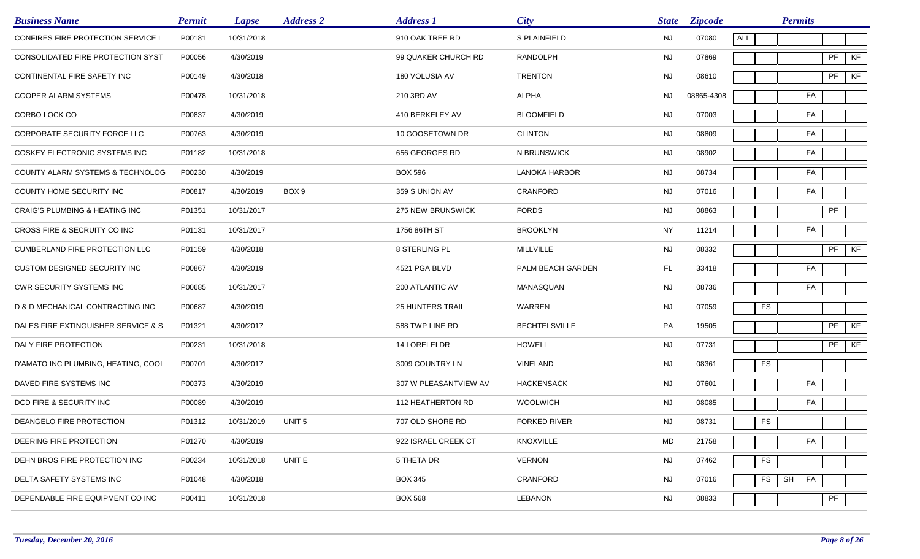| <b>Business Name</b>                      | <b>Permit</b> | <b>Lapse</b> | <b>Address 2</b>  | <b>Address 1</b>        | <b>City</b>          | <b>State</b> | <b>Zipcode</b> |            | <b>Permits</b> |    |               |    |
|-------------------------------------------|---------------|--------------|-------------------|-------------------------|----------------------|--------------|----------------|------------|----------------|----|---------------|----|
| CONFIRES FIRE PROTECTION SERVICE L        | P00181        | 10/31/2018   |                   | 910 OAK TREE RD         | S PLAINFIELD         | <b>NJ</b>    | 07080          | ALL        |                |    |               |    |
| CONSOLIDATED FIRE PROTECTION SYST         | P00056        | 4/30/2019    |                   | 99 QUAKER CHURCH RD     | <b>RANDOLPH</b>      | <b>NJ</b>    | 07869          |            |                |    | PF            | KF |
| CONTINENTAL FIRE SAFETY INC               | P00149        | 4/30/2018    |                   | 180 VOLUSIA AV          | <b>TRENTON</b>       | <b>NJ</b>    | 08610          |            |                |    | $\mathsf{PF}$ | KF |
| COOPER ALARM SYSTEMS                      | P00478        | 10/31/2018   |                   | 210 3RD AV              | <b>ALPHA</b>         | NJ           | 08865-4308     |            |                | FA |               |    |
| CORBO LOCK CO                             | P00837        | 4/30/2019    |                   | 410 BERKELEY AV         | <b>BLOOMFIELD</b>    | <b>NJ</b>    | 07003          |            |                | FA |               |    |
| CORPORATE SECURITY FORCE LLC              | P00763        | 4/30/2019    |                   | 10 GOOSETOWN DR         | <b>CLINTON</b>       | <b>NJ</b>    | 08809          |            |                | FA |               |    |
| COSKEY ELECTRONIC SYSTEMS INC             | P01182        | 10/31/2018   |                   | 656 GEORGES RD          | N BRUNSWICK          | <b>NJ</b>    | 08902          |            |                | FA |               |    |
| COUNTY ALARM SYSTEMS & TECHNOLOG          | P00230        | 4/30/2019    |                   | <b>BOX 596</b>          | <b>LANOKA HARBOR</b> | <b>NJ</b>    | 08734          |            |                | FA |               |    |
| <b>COUNTY HOME SECURITY INC</b>           | P00817        | 4/30/2019    | BOX <sub>9</sub>  | 359 S UNION AV          | CRANFORD             | <b>NJ</b>    | 07016          |            |                | FA |               |    |
| <b>CRAIG'S PLUMBING &amp; HEATING INC</b> | P01351        | 10/31/2017   |                   | 275 NEW BRUNSWICK       | <b>FORDS</b>         | <b>NJ</b>    | 08863          |            |                |    | PF            |    |
| CROSS FIRE & SECRUITY CO INC              | P01131        | 10/31/2017   |                   | 1756 86TH ST            | <b>BROOKLYN</b>      | <b>NY</b>    | 11214          |            |                | FA |               |    |
| CUMBERLAND FIRE PROTECTION LLC            | P01159        | 4/30/2018    |                   | 8 STERLING PL           | MILLVILLE            | <b>NJ</b>    | 08332          |            |                |    | PF            | KF |
| CUSTOM DESIGNED SECURITY INC              | P00867        | 4/30/2019    |                   | 4521 PGA BLVD           | PALM BEACH GARDEN    | FL.          | 33418          |            |                | FA |               |    |
| <b>CWR SECURITY SYSTEMS INC</b>           | P00685        | 10/31/2017   |                   | 200 ATLANTIC AV         | MANASQUAN            | <b>NJ</b>    | 08736          |            |                | FA |               |    |
| D & D MECHANICAL CONTRACTING INC          | P00687        | 4/30/2019    |                   | <b>25 HUNTERS TRAIL</b> | WARREN               | <b>NJ</b>    | 07059          | <b>FS</b>  |                |    |               |    |
| DALES FIRE EXTINGUISHER SERVICE & S       | P01321        | 4/30/2017    |                   | 588 TWP LINE RD         | <b>BECHTELSVILLE</b> | PA           | 19505          |            |                |    | PF            | KF |
| DALY FIRE PROTECTION                      | P00231        | 10/31/2018   |                   | 14 LORELEI DR           | <b>HOWELL</b>        | <b>NJ</b>    | 07731          |            |                |    | $\mathsf{PF}$ | KF |
| D'AMATO INC PLUMBING, HEATING, COOL       | P00701        | 4/30/2017    |                   | 3009 COUNTRY LN         | VINELAND             | <b>NJ</b>    | 08361          | <b>FS</b>  |                |    |               |    |
| DAVED FIRE SYSTEMS INC                    | P00373        | 4/30/2019    |                   | 307 W PLEASANTVIEW AV   | <b>HACKENSACK</b>    | <b>NJ</b>    | 07601          |            |                | FA |               |    |
| DCD FIRE & SECURITY INC                   | P00089        | 4/30/2019    |                   | 112 HEATHERTON RD       | <b>WOOLWICH</b>      | <b>NJ</b>    | 08085          |            |                | FA |               |    |
| DEANGELO FIRE PROTECTION                  | P01312        | 10/31/2019   | UNIT <sub>5</sub> | 707 OLD SHORE RD        | <b>FORKED RIVER</b>  | <b>NJ</b>    | 08731          | ${\sf FS}$ |                |    |               |    |
| DEERING FIRE PROTECTION                   | P01270        | 4/30/2019    |                   | 922 ISRAEL CREEK CT     | KNOXVILLE            | MD           | 21758          |            |                | FA |               |    |
| DEHN BROS FIRE PROTECTION INC             | P00234        | 10/31/2018   | UNIT E            | 5 THETA DR              | <b>VERNON</b>        | <b>NJ</b>    | 07462          | ${\sf FS}$ |                |    |               |    |
| DELTA SAFETY SYSTEMS INC                  | P01048        | 4/30/2018    |                   | <b>BOX 345</b>          | CRANFORD             | <b>NJ</b>    | 07016          | FS         | SH             | FA |               |    |
| DEPENDABLE FIRE EQUIPMENT CO INC          | P00411        | 10/31/2018   |                   | <b>BOX 568</b>          | LEBANON              | <b>NJ</b>    | 08833          |            |                |    | PF            |    |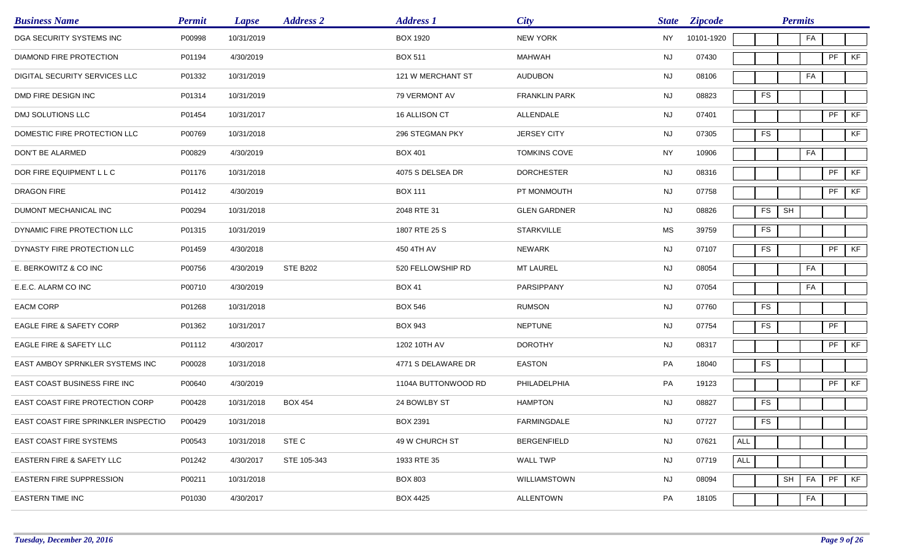| <b>Business Name</b>                | <b>Permit</b> | <b>Lapse</b> | <b>Address 2</b> | <b>Address 1</b>    | <b>City</b>          | <b>State</b> | <b>Zipcode</b> |                |            | <b>Permits</b> |    |    |    |
|-------------------------------------|---------------|--------------|------------------|---------------------|----------------------|--------------|----------------|----------------|------------|----------------|----|----|----|
| DGA SECURITY SYSTEMS INC            | P00998        | 10/31/2019   |                  | <b>BOX 1920</b>     | <b>NEW YORK</b>      | NY           | 10101-1920     |                |            |                | FA |    |    |
| DIAMOND FIRE PROTECTION             | P01194        | 4/30/2019    |                  | <b>BOX 511</b>      | MAHWAH               | NJ           | 07430          |                |            |                |    | PF | KF |
| DIGITAL SECURITY SERVICES LLC       | P01332        | 10/31/2019   |                  | 121 W MERCHANT ST   | <b>AUDUBON</b>       | NJ           | 08106          |                |            |                | FA |    |    |
| DMD FIRE DESIGN INC                 | P01314        | 10/31/2019   |                  | 79 VERMONT AV       | <b>FRANKLIN PARK</b> | NJ           | 08823          |                | ${\sf FS}$ |                |    |    |    |
| DMJ SOLUTIONS LLC                   | P01454        | 10/31/2017   |                  | 16 ALLISON CT       | ALLENDALE            | <b>NJ</b>    | 07401          |                |            |                |    | PF | KF |
| DOMESTIC FIRE PROTECTION LLC        | P00769        | 10/31/2018   |                  | 296 STEGMAN PKY     | <b>JERSEY CITY</b>   | NJ           | 07305          |                | <b>FS</b>  |                |    |    | KF |
| DON'T BE ALARMED                    | P00829        | 4/30/2019    |                  | <b>BOX 401</b>      | <b>TOMKINS COVE</b>  | <b>NY</b>    | 10906          |                |            |                | FA |    |    |
| DOR FIRE EQUIPMENT L L C            | P01176        | 10/31/2018   |                  | 4075 S DELSEA DR    | <b>DORCHESTER</b>    | <b>NJ</b>    | 08316          |                |            |                |    | PF | KF |
| DRAGON FIRE                         | P01412        | 4/30/2019    |                  | <b>BOX 111</b>      | PT MONMOUTH          | <b>NJ</b>    | 07758          |                |            |                |    | PF | KF |
| DUMONT MECHANICAL INC               | P00294        | 10/31/2018   |                  | 2048 RTE 31         | <b>GLEN GARDNER</b>  | <b>NJ</b>    | 08826          |                | <b>FS</b>  | SH             |    |    |    |
| DYNAMIC FIRE PROTECTION LLC         | P01315        | 10/31/2019   |                  | 1807 RTE 25 S       | <b>STARKVILLE</b>    | MS           | 39759          |                | <b>FS</b>  |                |    |    |    |
| DYNASTY FIRE PROTECTION LLC         | P01459        | 4/30/2018    |                  | 450 4TH AV          | NEWARK               | NJ           | 07107          |                | ${\sf FS}$ |                |    | PF | KF |
| E. BERKOWITZ & CO INC               | P00756        | 4/30/2019    | <b>STE B202</b>  | 520 FELLOWSHIP RD   | <b>MT LAUREL</b>     | <b>NJ</b>    | 08054          |                |            |                | FA |    |    |
| E.E.C. ALARM CO INC                 | P00710        | 4/30/2019    |                  | <b>BOX 41</b>       | PARSIPPANY           | NJ           | 07054          |                |            |                | FA |    |    |
| <b>EACM CORP</b>                    | P01268        | 10/31/2018   |                  | <b>BOX 546</b>      | <b>RUMSON</b>        | <b>NJ</b>    | 07760          |                | FS         |                |    |    |    |
| EAGLE FIRE & SAFETY CORP            | P01362        | 10/31/2017   |                  | <b>BOX 943</b>      | <b>NEPTUNE</b>       | <b>NJ</b>    | 07754          |                | ${\sf FS}$ |                |    | PF |    |
| EAGLE FIRE & SAFETY LLC             | P01112        | 4/30/2017    |                  | 1202 10TH AV        | <b>DOROTHY</b>       | <b>NJ</b>    | 08317          |                |            |                |    | PF | KF |
| EAST AMBOY SPRNKLER SYSTEMS INC     | P00028        | 10/31/2018   |                  | 4771 S DELAWARE DR  | <b>EASTON</b>        | PA           | 18040          |                | <b>FS</b>  |                |    |    |    |
| EAST COAST BUSINESS FIRE INC        | P00640        | 4/30/2019    |                  | 1104A BUTTONWOOD RD | PHILADELPHIA         | PA           | 19123          |                |            |                |    | PF | KF |
| EAST COAST FIRE PROTECTION CORP     | P00428        | 10/31/2018   | <b>BOX 454</b>   | 24 BOWLBY ST        | <b>HAMPTON</b>       | <b>NJ</b>    | 08827          |                | <b>FS</b>  |                |    |    |    |
| EAST COAST FIRE SPRINKLER INSPECTIO | P00429        | 10/31/2018   |                  | <b>BOX 2391</b>     | FARMINGDALE          | <b>NJ</b>    | 07727          |                | ${\sf FS}$ |                |    |    |    |
| <b>EAST COAST FIRE SYSTEMS</b>      | P00543        | 10/31/2018   | STE C            | 49 W CHURCH ST      | <b>BERGENFIELD</b>   | <b>NJ</b>    | 07621          | $\mathsf{ALL}$ |            |                |    |    |    |
| EASTERN FIRE & SAFETY LLC           | P01242        | 4/30/2017    | STE 105-343      | 1933 RTE 35         | WALL TWP             | <b>NJ</b>    | 07719          | ALL            |            |                |    |    |    |
| <b>EASTERN FIRE SUPPRESSION</b>     | P00211        | 10/31/2018   |                  | <b>BOX 803</b>      | WILLIAMSTOWN         | <b>NJ</b>    | 08094          |                |            | SH             | FA | PF | KF |
| <b>EASTERN TIME INC</b>             | P01030        | 4/30/2017    |                  | <b>BOX 4425</b>     | <b>ALLENTOWN</b>     | PA           | 18105          |                |            |                | FA |    |    |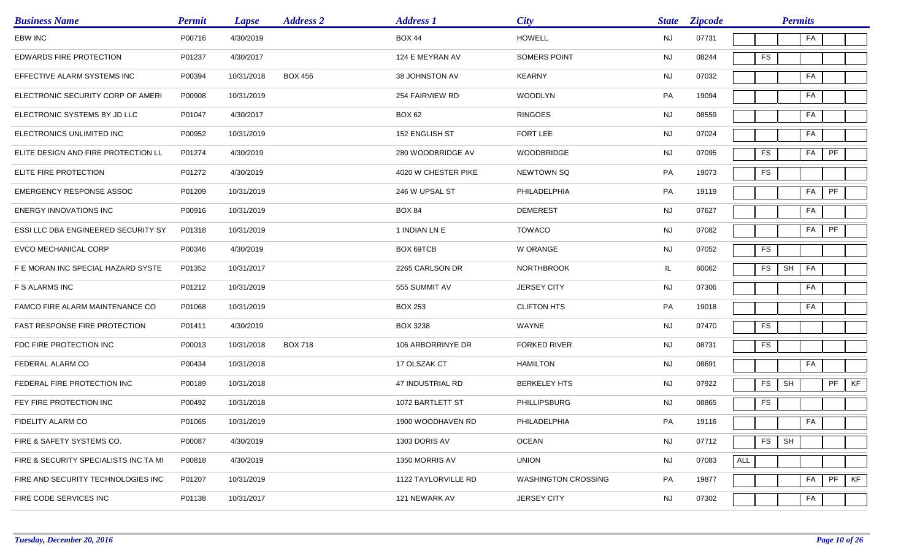| <b>Business Name</b>                       | <b>Permit</b> | <b>Lapse</b> | <b>Address 2</b> | <b>Address 1</b>    | City                       | <b>State</b> | <b>Zipcode</b> | <b>Permits</b>                                |
|--------------------------------------------|---------------|--------------|------------------|---------------------|----------------------------|--------------|----------------|-----------------------------------------------|
| <b>EBW INC</b>                             | P00716        | 4/30/2019    |                  | <b>BOX 44</b>       | <b>HOWELL</b>              | <b>NJ</b>    | 07731          | FA                                            |
| EDWARDS FIRE PROTECTION                    | P01237        | 4/30/2017    |                  | 124 E MEYRAN AV     | SOMERS POINT               | <b>NJ</b>    | 08244          | <b>FS</b>                                     |
| EFFECTIVE ALARM SYSTEMS INC                | P00394        | 10/31/2018   | <b>BOX 456</b>   | 38 JOHNSTON AV      | <b>KEARNY</b>              | <b>NJ</b>    | 07032          | FA                                            |
| ELECTRONIC SECURITY CORP OF AMERI          | P00908        | 10/31/2019   |                  | 254 FAIRVIEW RD     | <b>WOODLYN</b>             | PA           | 19094          | FA                                            |
| ELECTRONIC SYSTEMS BY JD LLC               | P01047        | 4/30/2017    |                  | <b>BOX 62</b>       | <b>RINGOES</b>             | <b>NJ</b>    | 08559          | FA                                            |
| ELECTRONICS UNLIMITED INC                  | P00952        | 10/31/2019   |                  | 152 ENGLISH ST      | FORT LEE                   | <b>NJ</b>    | 07024          | FA                                            |
| ELITE DESIGN AND FIRE PROTECTION LL        | P01274        | 4/30/2019    |                  | 280 WOODBRIDGE AV   | <b>WOODBRIDGE</b>          | <b>NJ</b>    | 07095          | $\ensuremath{\mathsf{PF}}$<br><b>FS</b><br>FA |
| ELITE FIRE PROTECTION                      | P01272        | 4/30/2019    |                  | 4020 W CHESTER PIKE | <b>NEWTOWN SQ</b>          | PA           | 19073          | <b>FS</b>                                     |
| <b>EMERGENCY RESPONSE ASSOC</b>            | P01209        | 10/31/2019   |                  | 246 W UPSAL ST      | PHILADELPHIA               | PA           | 19119          | FA<br>PF                                      |
| <b>ENERGY INNOVATIONS INC</b>              | P00916        | 10/31/2019   |                  | <b>BOX 84</b>       | <b>DEMEREST</b>            | <b>NJ</b>    | 07627          | FA                                            |
| <b>ESSI LLC DBA ENGINEERED SECURITY SY</b> | P01318        | 10/31/2019   |                  | 1 INDIAN LN E       | <b>TOWACO</b>              | NJ           | 07082          | FA<br>PF                                      |
| EVCO MECHANICAL CORP                       | P00346        | 4/30/2019    |                  | BOX 69TCB           | W ORANGE                   | NJ           | 07052          | ${\sf FS}$                                    |
| F E MORAN INC SPECIAL HAZARD SYSTE         | P01352        | 10/31/2017   |                  | 2265 CARLSON DR     | <b>NORTHBROOK</b>          | IL.          | 60062          | SH<br>FS<br>FA                                |
| F S ALARMS INC                             | P01212        | 10/31/2019   |                  | 555 SUMMIT AV       | <b>JERSEY CITY</b>         | <b>NJ</b>    | 07306          | FA                                            |
| FAMCO FIRE ALARM MAINTENANCE CO            | P01068        | 10/31/2019   |                  | <b>BOX 253</b>      | <b>CLIFTON HTS</b>         | PA           | 19018          | FA                                            |
| FAST RESPONSE FIRE PROTECTION              | P01411        | 4/30/2019    |                  | <b>BOX 3238</b>     | WAYNE                      | <b>NJ</b>    | 07470          | <b>FS</b>                                     |
| FDC FIRE PROTECTION INC                    | P00013        | 10/31/2018   | <b>BOX 718</b>   | 106 ARBORRINYE DR   | <b>FORKED RIVER</b>        | NJ           | 08731          | <b>FS</b>                                     |
| FEDERAL ALARM CO                           | P00434        | 10/31/2018   |                  | 17 OLSZAK CT        | <b>HAMILTON</b>            | <b>NJ</b>    | 08691          | FA                                            |
| FEDERAL FIRE PROTECTION INC                | P00189        | 10/31/2018   |                  | 47 INDUSTRIAL RD    | <b>BERKELEY HTS</b>        | <b>NJ</b>    | 07922          | PF<br><b>FS</b><br>SH<br>KF                   |
| FEY FIRE PROTECTION INC                    | P00492        | 10/31/2018   |                  | 1072 BARTLETT ST    | PHILLIPSBURG               | <b>NJ</b>    | 08865          | <b>FS</b>                                     |
| FIDELITY ALARM CO                          | P01065        | 10/31/2019   |                  | 1900 WOODHAVEN RD   | PHILADELPHIA               | PA           | 19116          | FA                                            |
| FIRE & SAFETY SYSTEMS CO.                  | P00087        | 4/30/2019    |                  | 1303 DORIS AV       | <b>OCEAN</b>               | <b>NJ</b>    | 07712          | <b>FS</b><br>SH                               |
| FIRE & SECURITY SPECIALISTS INC TA MI      | P00818        | 4/30/2019    |                  | 1350 MORRIS AV      | <b>UNION</b>               | <b>NJ</b>    | 07083          | $\mathsf{ALL}$                                |
| FIRE AND SECURITY TECHNOLOGIES INC         | P01207        | 10/31/2019   |                  | 1122 TAYLORVILLE RD | <b>WASHINGTON CROSSING</b> | PA           | 19877          | PF<br>KF<br>FA                                |
| FIRE CODE SERVICES INC                     | P01138        | 10/31/2017   |                  | 121 NEWARK AV       | <b>JERSEY CITY</b>         | <b>NJ</b>    | 07302          | FA                                            |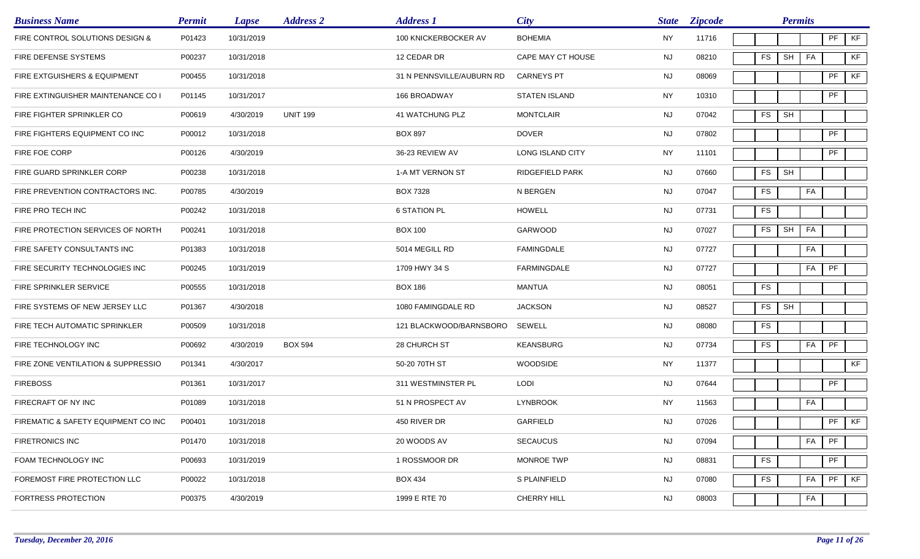| <b>Business Name</b>                    | <b>Permit</b> | <b>Lapse</b> | <b>Address 2</b> | <b>Address 1</b>          | City                 | <b>State</b> | <b>Zipcode</b> |            | <b>Permits</b> |    |         |    |
|-----------------------------------------|---------------|--------------|------------------|---------------------------|----------------------|--------------|----------------|------------|----------------|----|---------|----|
| FIRE CONTROL SOLUTIONS DESIGN &         | P01423        | 10/31/2019   |                  | 100 KNICKERBOCKER AV      | <b>BOHEMIA</b>       | <b>NY</b>    | 11716          |            |                |    | PF      | KF |
| FIRE DEFENSE SYSTEMS                    | P00237        | 10/31/2018   |                  | 12 CEDAR DR               | CAPE MAY CT HOUSE    | NJ.          | 08210          | <b>FS</b>  | SH             | FA |         | KF |
| <b>FIRE EXTGUISHERS &amp; EQUIPMENT</b> | P00455        | 10/31/2018   |                  | 31 N PENNSVILLE/AUBURN RD | <b>CARNEYS PT</b>    | <b>NJ</b>    | 08069          |            |                |    | PF      | KF |
| FIRE EXTINGUISHER MAINTENANCE CO I      | P01145        | 10/31/2017   |                  | 166 BROADWAY              | <b>STATEN ISLAND</b> | <b>NY</b>    | 10310          |            |                |    | PF      |    |
| FIRE FIGHTER SPRINKLER CO               | P00619        | 4/30/2019    | <b>UNIT 199</b>  | 41 WATCHUNG PLZ           | <b>MONTCLAIR</b>     | <b>NJ</b>    | 07042          | ${\sf FS}$ | SH             |    |         |    |
| FIRE FIGHTERS EQUIPMENT CO INC          | P00012        | 10/31/2018   |                  | <b>BOX 897</b>            | <b>DOVER</b>         | <b>NJ</b>    | 07802          |            |                |    | PF      |    |
| FIRE FOE CORP                           | P00126        | 4/30/2019    |                  | 36-23 REVIEW AV           | LONG ISLAND CITY     | NY           | 11101          |            |                |    | PF      |    |
| FIRE GUARD SPRINKLER CORP               | P00238        | 10/31/2018   |                  | 1-A MT VERNON ST          | RIDGEFIELD PARK      | <b>NJ</b>    | 07660          | <b>FS</b>  | SH             |    |         |    |
| FIRE PREVENTION CONTRACTORS INC.        | P00785        | 4/30/2019    |                  | BOX 7328                  | N BERGEN             | <b>NJ</b>    | 07047          | <b>FS</b>  |                | FA |         |    |
| FIRE PRO TECH INC                       | P00242        | 10/31/2018   |                  | <b>6 STATION PL</b>       | <b>HOWELL</b>        | <b>NJ</b>    | 07731          | <b>FS</b>  |                |    |         |    |
| FIRE PROTECTION SERVICES OF NORTH       | P00241        | 10/31/2018   |                  | <b>BOX 100</b>            | GARWOOD              | NJ           | 07027          | FS         | SH             | FA |         |    |
| FIRE SAFETY CONSULTANTS INC             | P01383        | 10/31/2018   |                  | 5014 MEGILL RD            | <b>FAMINGDALE</b>    | NJ           | 07727          |            |                | FA |         |    |
| FIRE SECURITY TECHNOLOGIES INC          | P00245        | 10/31/2019   |                  | 1709 HWY 34 S             | <b>FARMINGDALE</b>   | <b>NJ</b>    | 07727          |            |                | FA | PF      |    |
| FIRE SPRINKLER SERVICE                  | P00555        | 10/31/2018   |                  | <b>BOX 186</b>            | <b>MANTUA</b>        | NJ           | 08051          | ${\sf FS}$ |                |    |         |    |
| FIRE SYSTEMS OF NEW JERSEY LLC          | P01367        | 4/30/2018    |                  | 1080 FAMINGDALE RD        | <b>JACKSON</b>       | <b>NJ</b>    | 08527          | FS         | SH             |    |         |    |
| FIRE TECH AUTOMATIC SPRINKLER           | P00509        | 10/31/2018   |                  | 121 BLACKWOOD/BARNSBORO   | SEWELL               | <b>NJ</b>    | 08080          | FS         |                |    |         |    |
| FIRE TECHNOLOGY INC                     | P00692        | 4/30/2019    | <b>BOX 594</b>   | 28 CHURCH ST              | <b>KEANSBURG</b>     | NJ           | 07734          | <b>FS</b>  |                | FA | PF      |    |
| FIRE ZONE VENTILATION & SUPPRESSIO      | P01341        | 4/30/2017    |                  | 50-20 70TH ST             | <b>WOODSIDE</b>      | <b>NY</b>    | 11377          |            |                |    |         | KF |
| <b>FIREBOSS</b>                         | P01361        | 10/31/2017   |                  | 311 WESTMINSTER PL        | <b>LODI</b>          | <b>NJ</b>    | 07644          |            |                |    | PF      |    |
| FIRECRAFT OF NY INC                     | P01089        | 10/31/2018   |                  | 51 N PROSPECT AV          | <b>LYNBROOK</b>      | NY           | 11563          |            |                | FA |         |    |
| FIREMATIC & SAFETY EQUIPMENT CO INC     | P00401        | 10/31/2018   |                  | 450 RIVER DR              | GARFIELD             | NJ           | 07026          |            |                |    | $PF$ KF |    |
| <b>FIRETRONICS INC</b>                  | P01470        | 10/31/2018   |                  | 20 WOODS AV               | <b>SECAUCUS</b>      | <b>NJ</b>    | 07094          |            |                | FA | PF      |    |
| FOAM TECHNOLOGY INC                     | P00693        | 10/31/2019   |                  | 1 ROSSMOOR DR             | MONROE TWP           | <b>NJ</b>    | 08831          | FS         |                |    | PF      |    |
| FOREMOST FIRE PROTECTION LLC            | P00022        | 10/31/2018   |                  | <b>BOX 434</b>            | S PLAINFIELD         | <b>NJ</b>    | 07080          | FS         |                | FA | PF      | KF |
| FORTRESS PROTECTION                     | P00375        | 4/30/2019    |                  | 1999 E RTE 70             | CHERRY HILL          | <b>NJ</b>    | 08003          |            |                | FA |         |    |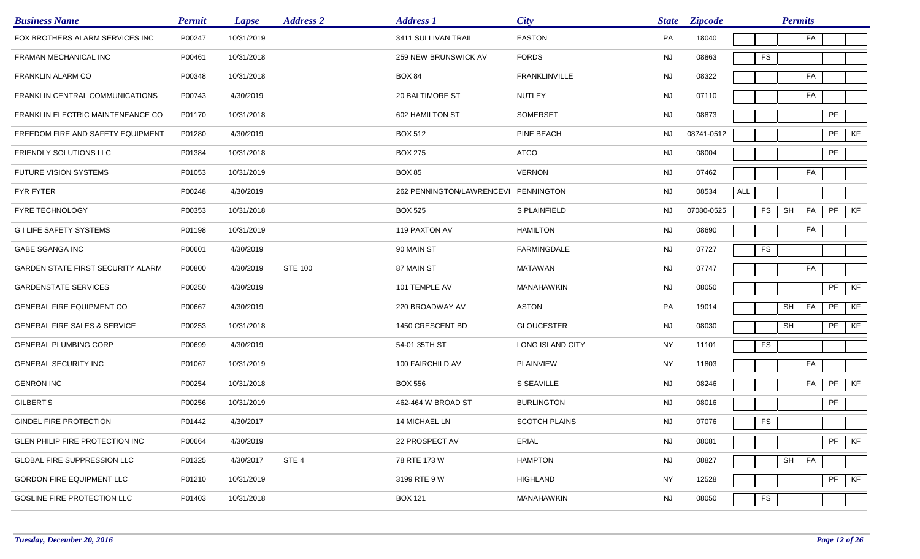| <b>Business Name</b>                    | <b>Permit</b> | <b>Lapse</b> | <b>Address 2</b> | <b>Address 1</b>                     | City                 | <b>State</b> | <b>Zipcode</b> |            |               | <b>Permits</b>       |    |                            |    |
|-----------------------------------------|---------------|--------------|------------------|--------------------------------------|----------------------|--------------|----------------|------------|---------------|----------------------|----|----------------------------|----|
| FOX BROTHERS ALARM SERVICES INC         | P00247        | 10/31/2019   |                  | 3411 SULLIVAN TRAIL                  | <b>EASTON</b>        | PA           | 18040          |            |               |                      | FA |                            |    |
| FRAMAN MECHANICAL INC                   | P00461        | 10/31/2018   |                  | 259 NEW BRUNSWICK AV                 | <b>FORDS</b>         | <b>NJ</b>    | 08863          |            | <b>FS</b>     |                      |    |                            |    |
| FRANKLIN ALARM CO                       | P00348        | 10/31/2018   |                  | <b>BOX 84</b>                        | <b>FRANKLINVILLE</b> | NJ           | 08322          |            |               |                      | FA |                            |    |
| FRANKLIN CENTRAL COMMUNICATIONS         | P00743        | 4/30/2019    |                  | 20 BALTIMORE ST                      | <b>NUTLEY</b>        | NJ           | 07110          |            |               |                      | FA |                            |    |
| FRANKLIN ELECTRIC MAINTENEANCE CO       | P01170        | 10/31/2018   |                  | 602 HAMILTON ST                      | <b>SOMERSET</b>      | <b>NJ</b>    | 08873          |            |               |                      |    | $\ensuremath{\mathsf{PF}}$ |    |
| FREEDOM FIRE AND SAFETY EQUIPMENT       | P01280        | 4/30/2019    |                  | <b>BOX 512</b>                       | PINE BEACH           | NJ           | 08741-0512     |            |               |                      |    | PF                         | KF |
| FRIENDLY SOLUTIONS LLC                  | P01384        | 10/31/2018   |                  | <b>BOX 275</b>                       | <b>ATCO</b>          | NJ           | 08004          |            |               |                      |    | PF                         |    |
| <b>FUTURE VISION SYSTEMS</b>            | P01053        | 10/31/2019   |                  | <b>BOX 85</b>                        | <b>VERNON</b>        | NJ           | 07462          |            |               |                      | FA |                            |    |
| <b>FYR FYTER</b>                        | P00248        | 4/30/2019    |                  | 262 PENNINGTON/LAWRENCEVI PENNINGTON |                      | <b>NJ</b>    | 08534          | <b>ALL</b> |               |                      |    |                            |    |
| <b>FYRE TECHNOLOGY</b>                  | P00353        | 10/31/2018   |                  | <b>BOX 525</b>                       | S PLAINFIELD         | NJ           | 07080-0525     |            | <b>FS</b>     | SH                   | FA | $\ensuremath{\mathsf{PF}}$ | KF |
| <b>GILIFE SAFETY SYSTEMS</b>            | P01198        | 10/31/2019   |                  | 119 PAXTON AV                        | <b>HAMILTON</b>      | <b>NJ</b>    | 08690          |            |               |                      | FA |                            |    |
| <b>GABE SGANGA INC</b>                  | P00601        | 4/30/2019    |                  | 90 MAIN ST                           | FARMINGDALE          | <b>NJ</b>    | 07727          |            | <b>FS</b>     |                      |    |                            |    |
| GARDEN STATE FIRST SECURITY ALARM       | P00800        | 4/30/2019    | <b>STE 100</b>   | 87 MAIN ST                           | <b>MATAWAN</b>       | <b>NJ</b>    | 07747          |            |               |                      | FA |                            |    |
| <b>GARDENSTATE SERVICES</b>             | P00250        | 4/30/2019    |                  | 101 TEMPLE AV                        | MANAHAWKIN           | <b>NJ</b>    | 08050          |            |               |                      |    | PF                         | KF |
| <b>GENERAL FIRE EQUIPMENT CO</b>        | P00667        | 4/30/2019    |                  | 220 BROADWAY AV                      | <b>ASTON</b>         | PA           | 19014          |            |               | $\mathsf{SH}\xspace$ | FA | PF                         | KF |
| <b>GENERAL FIRE SALES &amp; SERVICE</b> | P00253        | 10/31/2018   |                  | 1450 CRESCENT BD                     | <b>GLOUCESTER</b>    | <b>NJ</b>    | 08030          |            |               | SH                   |    | PF                         | KF |
| <b>GENERAL PLUMBING CORP</b>            | P00699        | 4/30/2019    |                  | 54-01 35TH ST                        | LONG ISLAND CITY     | <b>NY</b>    | 11101          |            | <b>FS</b>     |                      |    |                            |    |
| <b>GENERAL SECURITY INC</b>             | P01067        | 10/31/2019   |                  | 100 FAIRCHILD AV                     | <b>PLAINVIEW</b>     | <b>NY</b>    | 11803          |            |               |                      | FA |                            |    |
| <b>GENRON INC</b>                       | P00254        | 10/31/2018   |                  | <b>BOX 556</b>                       | S SEAVILLE           | <b>NJ</b>    | 08246          |            |               |                      | FA | $\ensuremath{\mathsf{PF}}$ | KF |
| GILBERT'S                               | P00256        | 10/31/2019   |                  | 462-464 W BROAD ST                   | <b>BURLINGTON</b>    | <b>NJ</b>    | 08016          |            |               |                      |    | PF                         |    |
| GINDEL FIRE PROTECTION                  | P01442        | 4/30/2017    |                  | 14 MICHAEL LN                        | <b>SCOTCH PLAINS</b> | NJ           | 07076          |            | $\mathsf{FS}$ |                      |    |                            |    |
| GLEN PHILIP FIRE PROTECTION INC         | P00664        | 4/30/2019    |                  | 22 PROSPECT AV                       | ERIAL                | <b>NJ</b>    | 08081          |            |               |                      |    | PF                         | KF |
| GLOBAL FIRE SUPPRESSION LLC             | P01325        | 4/30/2017    | STE <sub>4</sub> | 78 RTE 173 W                         | <b>HAMPTON</b>       | <b>NJ</b>    | 08827          |            |               | SH                   | FA |                            |    |
| GORDON FIRE EQUIPMENT LLC               | P01210        | 10/31/2019   |                  | 3199 RTE 9 W                         | <b>HIGHLAND</b>      | <b>NY</b>    | 12528          |            |               |                      |    | PF                         | KF |
| GOSLINE FIRE PROTECTION LLC             | P01403        | 10/31/2018   |                  | <b>BOX 121</b>                       | MANAHAWKIN           | <b>NJ</b>    | 08050          |            | ${\sf FS}$    |                      |    |                            |    |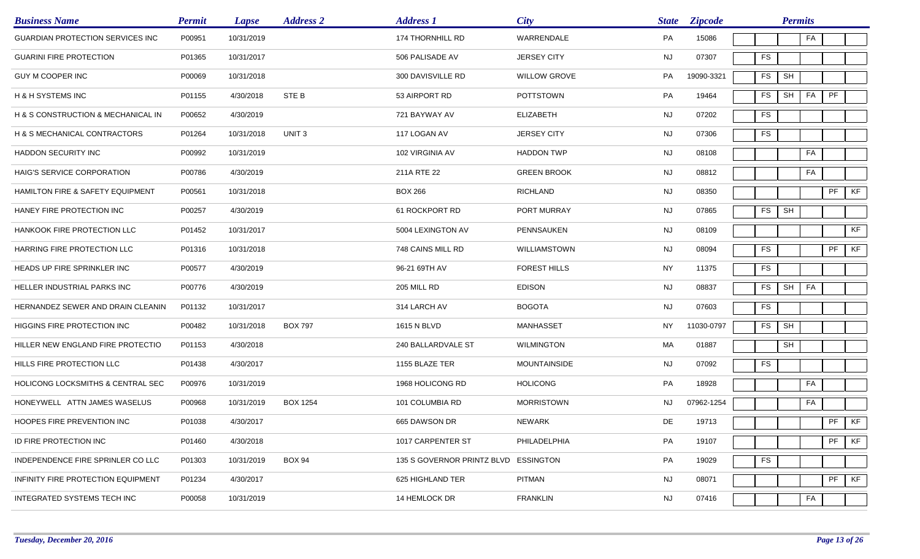| <b>Business Name</b>                    | <b>Permit</b> | <b>Lapse</b> | <b>Address 2</b>  | <b>Address 1</b>           | <b>City</b>         | <b>State</b> | <b>Zipcode</b> |               | <b>Permits</b>       |    |           |    |
|-----------------------------------------|---------------|--------------|-------------------|----------------------------|---------------------|--------------|----------------|---------------|----------------------|----|-----------|----|
| <b>GUARDIAN PROTECTION SERVICES INC</b> | P00951        | 10/31/2019   |                   | 174 THORNHILL RD           | WARRENDALE          | PA           | 15086          |               |                      | FA |           |    |
| <b>GUARINI FIRE PROTECTION</b>          | P01365        | 10/31/2017   |                   | 506 PALISADE AV            | <b>JERSEY CITY</b>  | <b>NJ</b>    | 07307          | FS            |                      |    |           |    |
| <b>GUY M COOPER INC</b>                 | P00069        | 10/31/2018   |                   | 300 DAVISVILLE RD          | <b>WILLOW GROVE</b> | PA           | 19090-3321     | FS            | SH                   |    |           |    |
| <b>H &amp; H SYSTEMS INC</b>            | P01155        | 4/30/2018    | STE B             | 53 AIRPORT RD              | <b>POTTSTOWN</b>    | PA           | 19464          | FS            | SH                   | FA | PF        |    |
| H & S CONSTRUCTION & MECHANICAL IN      | P00652        | 4/30/2019    |                   | 721 BAYWAY AV              | <b>ELIZABETH</b>    | <b>NJ</b>    | 07202          | <b>FS</b>     |                      |    |           |    |
| H & S MECHANICAL CONTRACTORS            | P01264        | 10/31/2018   | UNIT <sub>3</sub> | 117 LOGAN AV               | <b>JERSEY CITY</b>  | <b>NJ</b>    | 07306          | FS            |                      |    |           |    |
| HADDON SECURITY INC                     | P00992        | 10/31/2019   |                   | 102 VIRGINIA AV            | <b>HADDON TWP</b>   | <b>NJ</b>    | 08108          |               |                      | FA |           |    |
| HAIG'S SERVICE CORPORATION              | P00786        | 4/30/2019    |                   | 211A RTE 22                | <b>GREEN BROOK</b>  | <b>NJ</b>    | 08812          |               |                      | FA |           |    |
| HAMILTON FIRE & SAFETY EQUIPMENT        | P00561        | 10/31/2018   |                   | <b>BOX 266</b>             | <b>RICHLAND</b>     | <b>NJ</b>    | 08350          |               |                      |    | PF        | KF |
| HANEY FIRE PROTECTION INC               | P00257        | 4/30/2019    |                   | 61 ROCKPORT RD             | PORT MURRAY         | <b>NJ</b>    | 07865          | ${\sf FS}$    | SH                   |    |           |    |
| HANKOOK FIRE PROTECTION LLC             | P01452        | 10/31/2017   |                   | 5004 LEXINGTON AV          | PENNSAUKEN          | <b>NJ</b>    | 08109          |               |                      |    |           | KF |
| HARRING FIRE PROTECTION LLC             | P01316        | 10/31/2018   |                   | 748 CAINS MILL RD          | WILLIAMSTOWN        | <b>NJ</b>    | 08094          | <b>FS</b>     |                      |    | PF        | KF |
| HEADS UP FIRE SPRINKLER INC             | P00577        | 4/30/2019    |                   | 96-21 69TH AV              | <b>FOREST HILLS</b> | <b>NY</b>    | 11375          | ${\sf FS}$    |                      |    |           |    |
| HELLER INDUSTRIAL PARKS INC             | P00776        | 4/30/2019    |                   | 205 MILL RD                | <b>EDISON</b>       | <b>NJ</b>    | 08837          | FS            | SH                   | FA |           |    |
| HERNANDEZ SEWER AND DRAIN CLEANIN       | P01132        | 10/31/2017   |                   | 314 LARCH AV               | <b>BOGOTA</b>       | <b>NJ</b>    | 07603          | <b>FS</b>     |                      |    |           |    |
| HIGGINS FIRE PROTECTION INC             | P00482        | 10/31/2018   | <b>BOX 797</b>    | 1615 N BLVD                | <b>MANHASSET</b>    | NY           | 11030-0797     | <b>FS</b>     | $\mathsf{SH}\xspace$ |    |           |    |
| HILLER NEW ENGLAND FIRE PROTECTIO       | P01153        | 4/30/2018    |                   | 240 BALLARDVALE ST         | <b>WILMINGTON</b>   | MA           | 01887          |               | SH                   |    |           |    |
| HILLS FIRE PROTECTION LLC               | P01438        | 4/30/2017    |                   | 1155 BLAZE TER             | <b>MOUNTAINSIDE</b> | <b>NJ</b>    | 07092          | <b>FS</b>     |                      |    |           |    |
| HOLICONG LOCKSMITHS & CENTRAL SEC       | P00976        | 10/31/2019   |                   | 1968 HOLICONG RD           | <b>HOLICONG</b>     | PA           | 18928          |               |                      | FA |           |    |
| HONEYWELL ATTN JAMES WASELUS            | P00968        | 10/31/2019   | <b>BOX 1254</b>   | 101 COLUMBIA RD            | <b>MORRISTOWN</b>   | NJ.          | 07962-1254     |               |                      | FA |           |    |
| HOOPES FIRE PREVENTION INC              | P01038        | 4/30/2017    |                   | 665 DAWSON DR              | NEWARK              | DE           | 19713          |               |                      |    | $PF$ $KF$ |    |
| ID FIRE PROTECTION INC                  | P01460        | 4/30/2018    |                   | 1017 CARPENTER ST          | PHILADELPHIA        | PA           | 19107          |               |                      |    | PF        | KF |
| INDEPENDENCE FIRE SPRINLER CO LLC       | P01303        | 10/31/2019   | <b>BOX 94</b>     | 135 S GOVERNOR PRINTZ BLVD | <b>ESSINGTON</b>    | PA           | 19029          | $\mathsf{FS}$ |                      |    |           |    |
| INFINITY FIRE PROTECTION EQUIPMENT      | P01234        | 4/30/2017    |                   | 625 HIGHLAND TER           | PITMAN              | NJ           | 08071          |               |                      |    | PF        | KF |
| INTEGRATED SYSTEMS TECH INC             | P00058        | 10/31/2019   |                   | 14 HEMLOCK DR              | <b>FRANKLIN</b>     | <b>NJ</b>    | 07416          |               |                      | FA |           |    |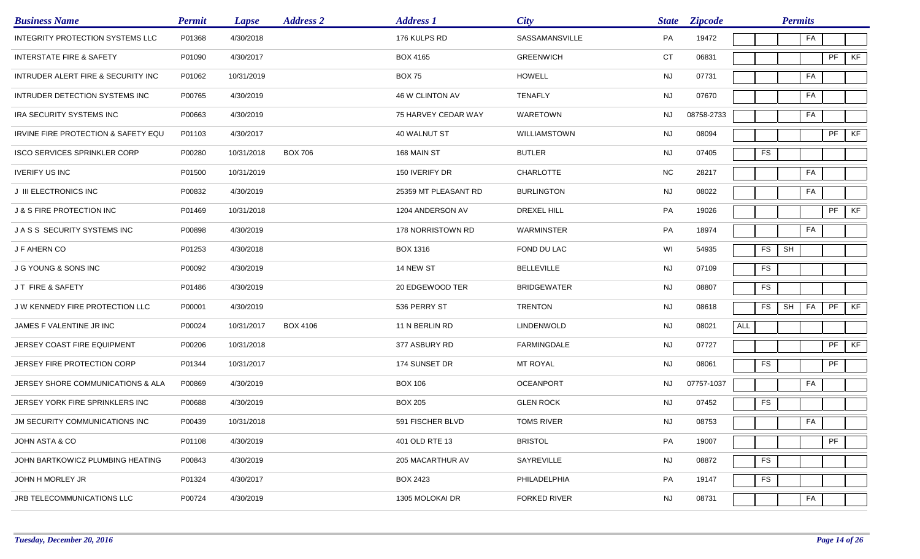| <b>Business Name</b>                 | <b>Permit</b> | <b>Lapse</b> | <b>Address 2</b> | <b>Address 1</b>     | <b>City</b>         | <b>State</b> | <b>Zipcode</b> |     |            | <b>Permits</b> |    |    |    |
|--------------------------------------|---------------|--------------|------------------|----------------------|---------------------|--------------|----------------|-----|------------|----------------|----|----|----|
| INTEGRITY PROTECTION SYSTEMS LLC     | P01368        | 4/30/2018    |                  | 176 KULPS RD         | SASSAMANSVILLE      | PA           | 19472          |     |            |                | FA |    |    |
| <b>INTERSTATE FIRE &amp; SAFETY</b>  | P01090        | 4/30/2017    |                  | <b>BOX 4165</b>      | <b>GREENWICH</b>    | CT           | 06831          |     |            |                |    | PF | KF |
| INTRUDER ALERT FIRE & SECURITY INC   | P01062        | 10/31/2019   |                  | <b>BOX 75</b>        | <b>HOWELL</b>       | <b>NJ</b>    | 07731          |     |            |                | FA |    |    |
| INTRUDER DETECTION SYSTEMS INC       | P00765        | 4/30/2019    |                  | 46 W CLINTON AV      | <b>TENAFLY</b>      | <b>NJ</b>    | 07670          |     |            |                | FA |    |    |
| IRA SECURITY SYSTEMS INC             | P00663        | 4/30/2019    |                  | 75 HARVEY CEDAR WAY  | WARETOWN            | NJ           | 08758-2733     |     |            |                | FA |    |    |
| IRVINE FIRE PROTECTION & SAFETY EQU  | P01103        | 4/30/2017    |                  | 40 WALNUT ST         | WILLIAMSTOWN        | NJ           | 08094          |     |            |                |    | PF | KF |
| <b>ISCO SERVICES SPRINKLER CORP</b>  | P00280        | 10/31/2018   | <b>BOX 706</b>   | 168 MAIN ST          | <b>BUTLER</b>       | <b>NJ</b>    | 07405          |     | <b>FS</b>  |                |    |    |    |
| <b>IVERIFY US INC</b>                | P01500        | 10/31/2019   |                  | 150 IVERIFY DR       | <b>CHARLOTTE</b>    | <b>NC</b>    | 28217          |     |            |                | FA |    |    |
| J III ELECTRONICS INC                | P00832        | 4/30/2019    |                  | 25359 MT PLEASANT RD | <b>BURLINGTON</b>   | <b>NJ</b>    | 08022          |     |            |                | FA |    |    |
| <b>J &amp; S FIRE PROTECTION INC</b> | P01469        | 10/31/2018   |                  | 1204 ANDERSON AV     | DREXEL HILL         | PA           | 19026          |     |            |                |    | PF | KF |
| JASS SECURITY SYSTEMS INC            | P00898        | 4/30/2019    |                  | 178 NORRISTOWN RD    | WARMINSTER          | PA           | 18974          |     |            |                | FA |    |    |
| J F AHERN CO                         | P01253        | 4/30/2018    |                  | <b>BOX 1316</b>      | FOND DU LAC         | WI           | 54935          |     | FS         | SH             |    |    |    |
| J G YOUNG & SONS INC                 | P00092        | 4/30/2019    |                  | 14 NEW ST            | <b>BELLEVILLE</b>   | <b>NJ</b>    | 07109          |     | <b>FS</b>  |                |    |    |    |
| JT FIRE & SAFETY                     | P01486        | 4/30/2019    |                  | 20 EDGEWOOD TER      | <b>BRIDGEWATER</b>  | <b>NJ</b>    | 08807          |     | <b>FS</b>  |                |    |    |    |
| J W KENNEDY FIRE PROTECTION LLC      | P00001        | 4/30/2019    |                  | 536 PERRY ST         | <b>TRENTON</b>      | <b>NJ</b>    | 08618          |     | <b>FS</b>  | SH             | FA | PF | KF |
| JAMES F VALENTINE JR INC             | P00024        | 10/31/2017   | <b>BOX 4106</b>  | 11 N BERLIN RD       | LINDENWOLD          | <b>NJ</b>    | 08021          | ALL |            |                |    |    |    |
| JERSEY COAST FIRE EQUIPMENT          | P00206        | 10/31/2018   |                  | 377 ASBURY RD        | <b>FARMINGDALE</b>  | <b>NJ</b>    | 07727          |     |            |                |    | PF | KF |
| JERSEY FIRE PROTECTION CORP          | P01344        | 10/31/2017   |                  | 174 SUNSET DR        | MT ROYAL            | <b>NJ</b>    | 08061          |     | <b>FS</b>  |                |    | PF |    |
| JERSEY SHORE COMMUNICATIONS & ALA    | P00869        | 4/30/2019    |                  | <b>BOX 106</b>       | <b>OCEANPORT</b>    | NJ           | 07757-1037     |     |            |                | FA |    |    |
| JERSEY YORK FIRE SPRINKLERS INC      | P00688        | 4/30/2019    |                  | <b>BOX 205</b>       | <b>GLEN ROCK</b>    | NJ           | 07452          |     | <b>FS</b>  |                |    |    |    |
| JM SECURITY COMMUNICATIONS INC       | P00439        | 10/31/2018   |                  | 591 FISCHER BLVD     | <b>TOMS RIVER</b>   | <b>NJ</b>    | 08753          |     |            |                | FA |    |    |
| JOHN ASTA & CO                       | P01108        | 4/30/2019    |                  | 401 OLD RTE 13       | <b>BRISTOL</b>      | PA           | 19007          |     |            |                |    | PF |    |
| JOHN BARTKOWICZ PLUMBING HEATING     | P00843        | 4/30/2019    |                  | 205 MACARTHUR AV     | SAYREVILLE          | NJ           | 08872          |     | ${\sf FS}$ |                |    |    |    |
| JOHN H MORLEY JR                     | P01324        | 4/30/2017    |                  | <b>BOX 2423</b>      | PHILADELPHIA        | PA           | 19147          |     | ${\sf FS}$ |                |    |    |    |
| JRB TELECOMMUNICATIONS LLC           | P00724        | 4/30/2019    |                  | 1305 MOLOKAI DR      | <b>FORKED RIVER</b> | <b>NJ</b>    | 08731          |     |            |                | FA |    |    |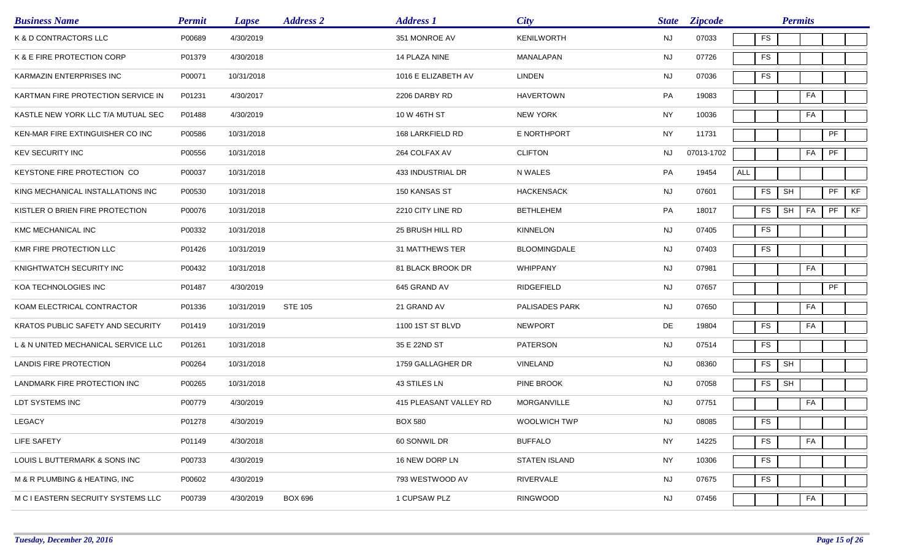| <b>Business Name</b>                | <b>Permit</b> | <b>Lapse</b> | <b>Address 2</b> | <b>Address 1</b>       | <b>City</b>          | <b>State</b> | <b>Zipcode</b> |               | <b>Permits</b>       |    |    |    |
|-------------------------------------|---------------|--------------|------------------|------------------------|----------------------|--------------|----------------|---------------|----------------------|----|----|----|
| K & D CONTRACTORS LLC               | P00689        | 4/30/2019    |                  | 351 MONROE AV          | <b>KENILWORTH</b>    | <b>NJ</b>    | 07033          | FS            |                      |    |    |    |
| K & E FIRE PROTECTION CORP          | P01379        | 4/30/2018    |                  | 14 PLAZA NINE          | MANALAPAN            | <b>NJ</b>    | 07726          | FS            |                      |    |    |    |
| KARMAZIN ENTERPRISES INC            | P00071        | 10/31/2018   |                  | 1016 E ELIZABETH AV    | <b>LINDEN</b>        | NJ           | 07036          | FS            |                      |    |    |    |
| KARTMAN FIRE PROTECTION SERVICE IN  | P01231        | 4/30/2017    |                  | 2206 DARBY RD          | HAVERTOWN            | PA           | 19083          |               |                      | FA |    |    |
| KASTLE NEW YORK LLC T/A MUTUAL SEC  | P01488        | 4/30/2019    |                  | 10 W 46TH ST           | <b>NEW YORK</b>      | <b>NY</b>    | 10036          |               |                      | FA |    |    |
| KEN-MAR FIRE EXTINGUISHER CO INC    | P00586        | 10/31/2018   |                  | 168 LARKFIELD RD       | E NORTHPORT          | <b>NY</b>    | 11731          |               |                      |    | PF |    |
| <b>KEV SECURITY INC</b>             | P00556        | 10/31/2018   |                  | 264 COLFAX AV          | <b>CLIFTON</b>       | NJ.          | 07013-1702     |               |                      | FA | PF |    |
| KEYSTONE FIRE PROTECTION CO         | P00037        | 10/31/2018   |                  | 433 INDUSTRIAL DR      | N WALES              | PA           | 19454          | <b>ALL</b>    |                      |    |    |    |
| KING MECHANICAL INSTALLATIONS INC   | P00530        | 10/31/2018   |                  | 150 KANSAS ST          | <b>HACKENSACK</b>    | NJ           | 07601          | ${\sf FS}$    | SH                   |    | PF | KF |
| KISTLER O BRIEN FIRE PROTECTION     | P00076        | 10/31/2018   |                  | 2210 CITY LINE RD      | <b>BETHLEHEM</b>     | PA           | 18017          | <b>FS</b>     | SH                   | FA | PF | KF |
| KMC MECHANICAL INC                  | P00332        | 10/31/2018   |                  | 25 BRUSH HILL RD       | <b>KINNELON</b>      | <b>NJ</b>    | 07405          | FS            |                      |    |    |    |
| KMR FIRE PROTECTION LLC             | P01426        | 10/31/2019   |                  | 31 MATTHEWS TER        | <b>BLOOMINGDALE</b>  | NJ           | 07403          | FS            |                      |    |    |    |
| KNIGHTWATCH SECURITY INC            | P00432        | 10/31/2018   |                  | 81 BLACK BROOK DR      | WHIPPANY             | <b>NJ</b>    | 07981          |               |                      | FA |    |    |
| KOA TECHNOLOGIES INC                | P01487        | 4/30/2019    |                  | 645 GRAND AV           | RIDGEFIELD           | NJ           | 07657          |               |                      |    | PF |    |
| KOAM ELECTRICAL CONTRACTOR          | P01336        | 10/31/2019   | <b>STE 105</b>   | 21 GRAND AV            | PALISADES PARK       | <b>NJ</b>    | 07650          |               |                      | FA |    |    |
| KRATOS PUBLIC SAFETY AND SECURITY   | P01419        | 10/31/2019   |                  | 1100 1ST ST BLVD       | <b>NEWPORT</b>       | DE           | 19804          | <b>FS</b>     |                      | FA |    |    |
| L & N UNITED MECHANICAL SERVICE LLC | P01261        | 10/31/2018   |                  | 35 E 22ND ST           | <b>PATERSON</b>      | NJ           | 07514          | ${\sf FS}$    |                      |    |    |    |
| LANDIS FIRE PROTECTION              | P00264        | 10/31/2018   |                  | 1759 GALLAGHER DR      | VINELAND             | <b>NJ</b>    | 08360          | <b>FS</b>     | $\mathsf{SH}\xspace$ |    |    |    |
| LANDMARK FIRE PROTECTION INC        | P00265        | 10/31/2018   |                  | 43 STILES LN           | PINE BROOK           | <b>NJ</b>    | 07058          | FS            | SH                   |    |    |    |
| LDT SYSTEMS INC                     | P00779        | 4/30/2019    |                  | 415 PLEASANT VALLEY RD | MORGANVILLE          | NJ.          | 07751          |               |                      | FA |    |    |
| <b>LEGACY</b>                       | P01278        | 4/30/2019    |                  | <b>BOX 580</b>         | WOOLWICH TWP         | NJ           | 08085          | $\mathsf{FS}$ |                      |    |    |    |
| LIFE SAFETY                         | P01149        | 4/30/2018    |                  | 60 SONWIL DR           | <b>BUFFALO</b>       | <b>NY</b>    | 14225          | <b>FS</b>     |                      | FA |    |    |
| LOUIS L BUTTERMARK & SONS INC       | P00733        | 4/30/2019    |                  | 16 NEW DORP LN         | <b>STATEN ISLAND</b> | <b>NY</b>    | 10306          | <b>FS</b>     |                      |    |    |    |
| M & R PLUMBING & HEATING, INC       | P00602        | 4/30/2019    |                  | 793 WESTWOOD AV        | RIVERVALE            | NJ           | 07675          | ${\sf FS}$    |                      |    |    |    |
| M C I EASTERN SECRUITY SYSTEMS LLC  | P00739        | 4/30/2019    | <b>BOX 696</b>   | 1 CUPSAW PLZ           | <b>RINGWOOD</b>      | <b>NJ</b>    | 07456          |               |                      | FA |    |    |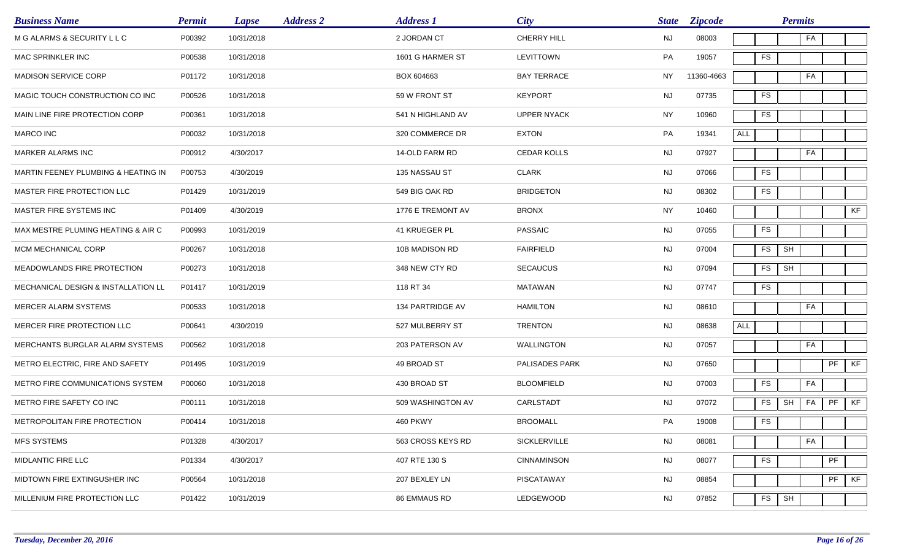| <b>Business Name</b>                           | <b>Permit</b> | <b>Lapse</b> | <b>Address 2</b> | <b>Address 1</b>  | <b>City</b>        | <b>State</b> | <b>Zipcode</b> |            |            | <b>Permits</b>       |    |    |
|------------------------------------------------|---------------|--------------|------------------|-------------------|--------------------|--------------|----------------|------------|------------|----------------------|----|----|
| M G ALARMS & SECURITY L L C                    | P00392        | 10/31/2018   |                  | 2 JORDAN CT       | <b>CHERRY HILL</b> | <b>NJ</b>    | 08003          |            |            | FA                   |    |    |
| MAC SPRINKLER INC                              | P00538        | 10/31/2018   |                  | 1601 G HARMER ST  | LEVITTOWN          | PA           | 19057          |            | <b>FS</b>  |                      |    |    |
| MADISON SERVICE CORP                           | P01172        | 10/31/2018   |                  | BOX 604663        | <b>BAY TERRACE</b> | <b>NY</b>    | 11360-4663     |            |            | FA                   |    |    |
| MAGIC TOUCH CONSTRUCTION CO INC                | P00526        | 10/31/2018   |                  | 59 W FRONT ST     | <b>KEYPORT</b>     | <b>NJ</b>    | 07735          |            | <b>FS</b>  |                      |    |    |
| MAIN LINE FIRE PROTECTION CORP                 | P00361        | 10/31/2018   |                  | 541 N HIGHLAND AV | <b>UPPER NYACK</b> | <b>NY</b>    | 10960          |            | <b>FS</b>  |                      |    |    |
| <b>MARCO INC</b>                               | P00032        | 10/31/2018   |                  | 320 COMMERCE DR   | <b>EXTON</b>       | PA           | 19341          | <b>ALL</b> |            |                      |    |    |
| MARKER ALARMS INC                              | P00912        | 4/30/2017    |                  | 14-OLD FARM RD    | <b>CEDAR KOLLS</b> | <b>NJ</b>    | 07927          |            |            | FA                   |    |    |
| MARTIN FEENEY PLUMBING & HEATING IN            | P00753        | 4/30/2019    |                  | 135 NASSAU ST     | <b>CLARK</b>       | <b>NJ</b>    | 07066          |            | ${\sf FS}$ |                      |    |    |
| MASTER FIRE PROTECTION LLC                     | P01429        | 10/31/2019   |                  | 549 BIG OAK RD    | <b>BRIDGETON</b>   | <b>NJ</b>    | 08302          |            | <b>FS</b>  |                      |    |    |
| MASTER FIRE SYSTEMS INC                        | P01409        | 4/30/2019    |                  | 1776 E TREMONT AV | <b>BRONX</b>       | <b>NY</b>    | 10460          |            |            |                      |    | KF |
| MAX MESTRE PLUMING HEATING & AIR C             | P00993        | 10/31/2019   |                  | 41 KRUEGER PL     | <b>PASSAIC</b>     | NJ           | 07055          |            | <b>FS</b>  |                      |    |    |
| MCM MECHANICAL CORP                            | P00267        | 10/31/2018   |                  | 10B MADISON RD    | <b>FAIRFIELD</b>   | NJ           | 07004          |            | <b>FS</b>  | SH                   |    |    |
| MEADOWLANDS FIRE PROTECTION                    | P00273        | 10/31/2018   |                  | 348 NEW CTY RD    | <b>SECAUCUS</b>    | <b>NJ</b>    | 07094          |            | ${\sf FS}$ | $\mathsf{SH}\xspace$ |    |    |
| <b>MECHANICAL DESIGN &amp; INSTALLATION LL</b> | P01417        | 10/31/2019   |                  | 118 RT 34         | <b>MATAWAN</b>     | NJ           | 07747          |            | <b>FS</b>  |                      |    |    |
| MERCER ALARM SYSTEMS                           | P00533        | 10/31/2018   |                  | 134 PARTRIDGE AV  | <b>HAMILTON</b>    | <b>NJ</b>    | 08610          |            |            | FA                   |    |    |
| MERCER FIRE PROTECTION LLC                     | P00641        | 4/30/2019    |                  | 527 MULBERRY ST   | <b>TRENTON</b>     | <b>NJ</b>    | 08638          | <b>ALL</b> |            |                      |    |    |
| MERCHANTS BURGLAR ALARM SYSTEMS                | P00562        | 10/31/2018   |                  | 203 PATERSON AV   | <b>WALLINGTON</b>  | <b>NJ</b>    | 07057          |            |            | FA                   |    |    |
| METRO ELECTRIC, FIRE AND SAFETY                | P01495        | 10/31/2019   |                  | 49 BROAD ST       | PALISADES PARK     | <b>NJ</b>    | 07650          |            |            |                      | PF | KF |
| METRO FIRE COMMUNICATIONS SYSTEM               | P00060        | 10/31/2018   |                  | 430 BROAD ST      | <b>BLOOMFIELD</b>  | <b>NJ</b>    | 07003          |            | ${\sf FS}$ | FA                   |    |    |
| METRO FIRE SAFETY CO INC                       | P00111        | 10/31/2018   |                  | 509 WASHINGTON AV | CARLSTADT          | <b>NJ</b>    | 07072          |            | <b>FS</b>  | SH<br>FA             | PF | KF |
| METROPOLITAN FIRE PROTECTION                   | P00414        | 10/31/2018   |                  | <b>460 PKWY</b>   | <b>BROOMALL</b>    | PA           | 19008          |            | <b>FS</b>  |                      |    |    |
| <b>MFS SYSTEMS</b>                             | P01328        | 4/30/2017    |                  | 563 CROSS KEYS RD | SICKLERVILLE       | <b>NJ</b>    | 08081          |            |            | FA                   |    |    |
| MIDLANTIC FIRE LLC                             | P01334        | 4/30/2017    |                  | 407 RTE 130 S     | <b>CINNAMINSON</b> | <b>NJ</b>    | 08077          |            | <b>FS</b>  |                      | PF |    |
| MIDTOWN FIRE EXTINGUSHER INC                   | P00564        | 10/31/2018   |                  | 207 BEXLEY LN     | <b>PISCATAWAY</b>  | NJ           | 08854          |            |            |                      | PF | KF |
| MILLENIUM FIRE PROTECTION LLC                  | P01422        | 10/31/2019   |                  | 86 EMMAUS RD      | LEDGEWOOD          | <b>NJ</b>    | 07852          |            | FS         | SH                   |    |    |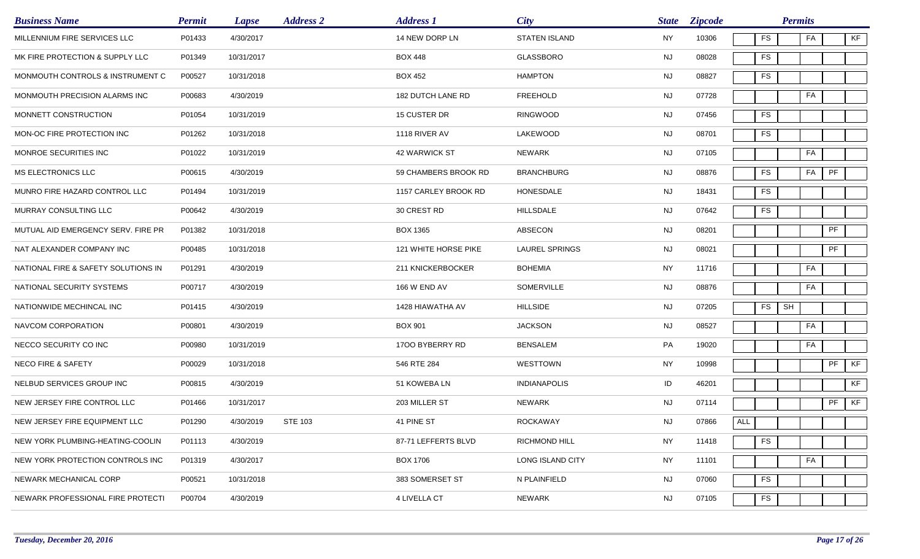| <b>Business Name</b>                | <b>Permit</b> | <b>Lapse</b> | <b>Address 2</b> | <b>Address 1</b>     | <b>City</b>           | <b>State</b> | <b>Zipcode</b> |            | <b>Permits</b> |    |    |    |
|-------------------------------------|---------------|--------------|------------------|----------------------|-----------------------|--------------|----------------|------------|----------------|----|----|----|
| MILLENNIUM FIRE SERVICES LLC        | P01433        | 4/30/2017    |                  | 14 NEW DORP LN       | <b>STATEN ISLAND</b>  | <b>NY</b>    | 10306          | <b>FS</b>  |                | FA |    | KF |
| MK FIRE PROTECTION & SUPPLY LLC     | P01349        | 10/31/2017   |                  | <b>BOX 448</b>       | <b>GLASSBORO</b>      | <b>NJ</b>    | 08028          | <b>FS</b>  |                |    |    |    |
| MONMOUTH CONTROLS & INSTRUMENT C    | P00527        | 10/31/2018   |                  | <b>BOX 452</b>       | <b>HAMPTON</b>        | NJ           | 08827          | <b>FS</b>  |                |    |    |    |
| MONMOUTH PRECISION ALARMS INC       | P00683        | 4/30/2019    |                  | 182 DUTCH LANE RD    | <b>FREEHOLD</b>       | NJ           | 07728          |            |                | FA |    |    |
| MONNETT CONSTRUCTION                | P01054        | 10/31/2019   |                  | 15 CUSTER DR         | RINGWOOD              | <b>NJ</b>    | 07456          | <b>FS</b>  |                |    |    |    |
| MON-OC FIRE PROTECTION INC          | P01262        | 10/31/2018   |                  | 1118 RIVER AV        | LAKEWOOD              | NJ           | 08701          | <b>FS</b>  |                |    |    |    |
| MONROE SECURITIES INC               | P01022        | 10/31/2019   |                  | 42 WARWICK ST        | NEWARK                | <b>NJ</b>    | 07105          |            |                | FA |    |    |
| MS ELECTRONICS LLC                  | P00615        | 4/30/2019    |                  | 59 CHAMBERS BROOK RD | <b>BRANCHBURG</b>     | <b>NJ</b>    | 08876          | <b>FS</b>  |                | FA | PF |    |
| MUNRO FIRE HAZARD CONTROL LLC       | P01494        | 10/31/2019   |                  | 1157 CARLEY BROOK RD | HONESDALE             | <b>NJ</b>    | 18431          | <b>FS</b>  |                |    |    |    |
| MURRAY CONSULTING LLC               | P00642        | 4/30/2019    |                  | 30 CREST RD          | <b>HILLSDALE</b>      | <b>NJ</b>    | 07642          | <b>FS</b>  |                |    |    |    |
| MUTUAL AID EMERGENCY SERV. FIRE PR  | P01382        | 10/31/2018   |                  | <b>BOX 1365</b>      | ABSECON               | NJ           | 08201          |            |                |    | PF |    |
| NAT ALEXANDER COMPANY INC           | P00485        | 10/31/2018   |                  | 121 WHITE HORSE PIKE | <b>LAUREL SPRINGS</b> | <b>NJ</b>    | 08021          |            |                |    | PF |    |
| NATIONAL FIRE & SAFETY SOLUTIONS IN | P01291        | 4/30/2019    |                  | 211 KNICKERBOCKER    | <b>BOHEMIA</b>        | <b>NY</b>    | 11716          |            |                | FA |    |    |
| NATIONAL SECURITY SYSTEMS           | P00717        | 4/30/2019    |                  | <b>166 W END AV</b>  | SOMERVILLE            | <b>NJ</b>    | 08876          |            |                | FA |    |    |
| NATIONWIDE MECHINCAL INC            | P01415        | 4/30/2019    |                  | 1428 HIAWATHA AV     | <b>HILLSIDE</b>       | <b>NJ</b>    | 07205          | <b>FS</b>  | SH             |    |    |    |
| NAVCOM CORPORATION                  | P00801        | 4/30/2019    |                  | <b>BOX 901</b>       | <b>JACKSON</b>        | <b>NJ</b>    | 08527          |            |                | FA |    |    |
| NECCO SECURITY CO INC               | P00980        | 10/31/2019   |                  | 1700 BYBERRY RD      | <b>BENSALEM</b>       | PA           | 19020          |            |                | FA |    |    |
| <b>NECO FIRE &amp; SAFETY</b>       | P00029        | 10/31/2018   |                  | 546 RTE 284          | WESTTOWN              | <b>NY</b>    | 10998          |            |                |    | PF | KF |
| NELBUD SERVICES GROUP INC           | P00815        | 4/30/2019    |                  | 51 KOWEBA LN         | <b>INDIANAPOLIS</b>   | ID           | 46201          |            |                |    |    | KF |
| NEW JERSEY FIRE CONTROL LLC         | P01466        | 10/31/2017   |                  | 203 MILLER ST        | <b>NEWARK</b>         | <b>NJ</b>    | 07114          |            |                |    | PF | KF |
| NEW JERSEY FIRE EQUIPMENT LLC       | P01290        | 4/30/2019    | <b>STE 103</b>   | 41 PINE ST           | ROCKAWAY              | <b>NJ</b>    | 07866          | ALL        |                |    |    |    |
| NEW YORK PLUMBING-HEATING-COOLIN    | P01113        | 4/30/2019    |                  | 87-71 LEFFERTS BLVD  | RICHMOND HILL         | NY           | 11418          | ${\sf FS}$ |                |    |    |    |
| NEW YORK PROTECTION CONTROLS INC    | P01319        | 4/30/2017    |                  | <b>BOX 1706</b>      | LONG ISLAND CITY      | <b>NY</b>    | 11101          |            |                | FA |    |    |
| NEWARK MECHANICAL CORP              | P00521        | 10/31/2018   |                  | 383 SOMERSET ST      | N PLAINFIELD          | <b>NJ</b>    | 07060          | ${\sf FS}$ |                |    |    |    |
| NEWARK PROFESSIONAL FIRE PROTECTI   | P00704        | 4/30/2019    |                  | 4 LIVELLA CT         | NEWARK                | <b>NJ</b>    | 07105          | ${\sf FS}$ |                |    |    |    |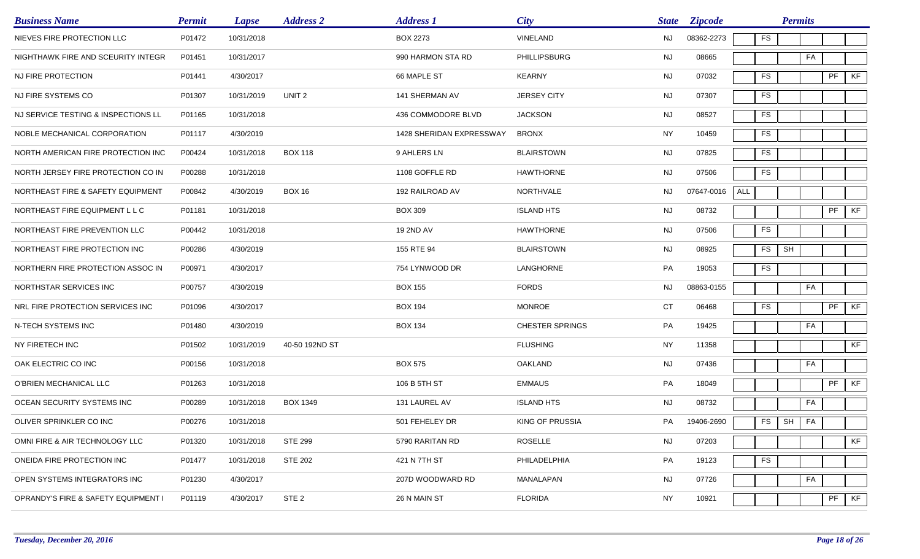| <b>Business Name</b>                | <b>Permit</b> | <b>Lapse</b> | <b>Address 2</b>  | <b>Address 1</b>         | <b>City</b>            | <b>State</b> | <b>Zipcode</b> |            | <b>Permits</b> |    |                            |    |
|-------------------------------------|---------------|--------------|-------------------|--------------------------|------------------------|--------------|----------------|------------|----------------|----|----------------------------|----|
| NIEVES FIRE PROTECTION LLC          | P01472        | 10/31/2018   |                   | <b>BOX 2273</b>          | VINELAND               | <b>NJ</b>    | 08362-2273     | <b>FS</b>  |                |    |                            |    |
| NIGHTHAWK FIRE AND SCEURITY INTEGR  | P01451        | 10/31/2017   |                   | 990 HARMON STA RD        | <b>PHILLIPSBURG</b>    | <b>NJ</b>    | 08665          |            |                | FA |                            |    |
| NJ FIRE PROTECTION                  | P01441        | 4/30/2017    |                   | 66 MAPLE ST              | <b>KEARNY</b>          | <b>NJ</b>    | 07032          | FS         |                |    | PF                         | KF |
| NJ FIRE SYSTEMS CO                  | P01307        | 10/31/2019   | UNIT <sub>2</sub> | 141 SHERMAN AV           | <b>JERSEY CITY</b>     | NJ           | 07307          | FS         |                |    |                            |    |
| NJ SERVICE TESTING & INSPECTIONS LL | P01165        | 10/31/2018   |                   | 436 COMMODORE BLVD       | <b>JACKSON</b>         | <b>NJ</b>    | 08527          | <b>FS</b>  |                |    |                            |    |
| NOBLE MECHANICAL CORPORATION        | P01117        | 4/30/2019    |                   | 1428 SHERIDAN EXPRESSWAY | <b>BRONX</b>           | <b>NY</b>    | 10459          | <b>FS</b>  |                |    |                            |    |
| NORTH AMERICAN FIRE PROTECTION INC  | P00424        | 10/31/2018   | <b>BOX 118</b>    | 9 AHLERS LN              | <b>BLAIRSTOWN</b>      | <b>NJ</b>    | 07825          | FS         |                |    |                            |    |
| NORTH JERSEY FIRE PROTECTION CO IN  | P00288        | 10/31/2018   |                   | 1108 GOFFLE RD           | <b>HAWTHORNE</b>       | <b>NJ</b>    | 07506          | <b>FS</b>  |                |    |                            |    |
| NORTHEAST FIRE & SAFETY EQUIPMENT   | P00842        | 4/30/2019    | <b>BOX 16</b>     | 192 RAILROAD AV          | NORTHVALE              | <b>NJ</b>    | 07647-0016     | <b>ALL</b> |                |    |                            |    |
| NORTHEAST FIRE EQUIPMENT L L C      | P01181        | 10/31/2018   |                   | <b>BOX 309</b>           | <b>ISLAND HTS</b>      | <b>NJ</b>    | 08732          |            |                |    | $\ensuremath{\mathsf{PF}}$ | KF |
| NORTHEAST FIRE PREVENTION LLC       | P00442        | 10/31/2018   |                   | 19 2ND AV                | <b>HAWTHORNE</b>       | NJ           | 07506          | FS         |                |    |                            |    |
| NORTHEAST FIRE PROTECTION INC       | P00286        | 4/30/2019    |                   | 155 RTE 94               | <b>BLAIRSTOWN</b>      | NJ           | 08925          | FS         | SH             |    |                            |    |
| NORTHERN FIRE PROTECTION ASSOC IN   | P00971        | 4/30/2017    |                   | 754 LYNWOOD DR           | LANGHORNE              | PA           | 19053          | FS         |                |    |                            |    |
| NORTHSTAR SERVICES INC              | P00757        | 4/30/2019    |                   | <b>BOX 155</b>           | <b>FORDS</b>           | NJ.          | 08863-0155     |            |                | FA |                            |    |
| NRL FIRE PROTECTION SERVICES INC    | P01096        | 4/30/2017    |                   | <b>BOX 194</b>           | <b>MONROE</b>          | CT           | 06468          | FS         |                |    | PF                         | KF |
| N-TECH SYSTEMS INC                  | P01480        | 4/30/2019    |                   | <b>BOX 134</b>           | <b>CHESTER SPRINGS</b> | PA           | 19425          |            |                | FA |                            |    |
| NY FIRETECH INC                     | P01502        | 10/31/2019   | 40-50 192ND ST    |                          | <b>FLUSHING</b>        | <b>NY</b>    | 11358          |            |                |    |                            | KF |
| OAK ELECTRIC CO INC                 | P00156        | 10/31/2018   |                   | <b>BOX 575</b>           | <b>OAKLAND</b>         | <b>NJ</b>    | 07436          |            |                | FA |                            |    |
| O'BRIEN MECHANICAL LLC              | P01263        | 10/31/2018   |                   | 106 B 5TH ST             | <b>EMMAUS</b>          | PA           | 18049          |            |                |    | PF                         | KF |
| OCEAN SECURITY SYSTEMS INC          | P00289        | 10/31/2018   | <b>BOX 1349</b>   | 131 LAUREL AV            | <b>ISLAND HTS</b>      | <b>NJ</b>    | 08732          |            |                | FA |                            |    |
| OLIVER SPRINKLER CO INC             | P00276        | 10/31/2018   |                   | 501 FEHELEY DR           | KING OF PRUSSIA        | PA           | 19406-2690     | FS         | SH   FA        |    |                            |    |
| OMNI FIRE & AIR TECHNOLOGY LLC      | P01320        | 10/31/2018   | <b>STE 299</b>    | 5790 RARITAN RD          | <b>ROSELLE</b>         | <b>NJ</b>    | 07203          |            |                |    |                            | KF |
| ONEIDA FIRE PROTECTION INC          | P01477        | 10/31/2018   | <b>STE 202</b>    | 421 N 7TH ST             | PHILADELPHIA           | PA           | 19123          | FS         |                |    |                            |    |
| OPEN SYSTEMS INTEGRATORS INC        | P01230        | 4/30/2017    |                   | 207D WOODWARD RD         | MANALAPAN              | <b>NJ</b>    | 07726          |            |                | FA |                            |    |
| OPRANDY'S FIRE & SAFETY EQUIPMENT I | P01119        | 4/30/2017    | STE <sub>2</sub>  | 26 N MAIN ST             | <b>FLORIDA</b>         | <b>NY</b>    | 10921          |            |                |    | PF                         | KF |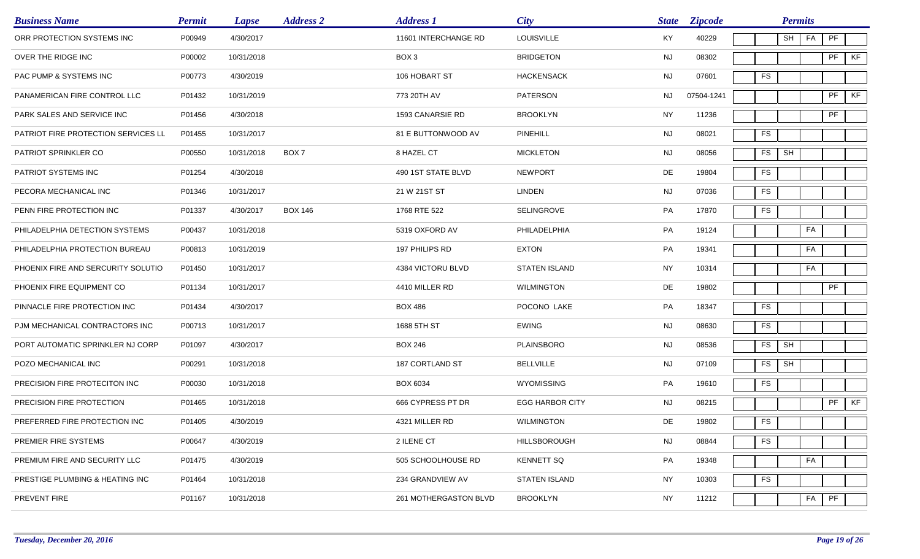| <b>Business Name</b>                       | <b>Permit</b> | <b>Lapse</b> | <b>Address 2</b> | <b>Address 1</b>      | <b>City</b>            | <b>State</b> | <b>Zipcode</b> |               | <b>Permits</b>       |    |    |    |
|--------------------------------------------|---------------|--------------|------------------|-----------------------|------------------------|--------------|----------------|---------------|----------------------|----|----|----|
| ORR PROTECTION SYSTEMS INC                 | P00949        | 4/30/2017    |                  | 11601 INTERCHANGE RD  | <b>LOUISVILLE</b>      | KY           | 40229          |               | SH                   | FA | PF |    |
| OVER THE RIDGE INC                         | P00002        | 10/31/2018   |                  | BOX 3                 | <b>BRIDGETON</b>       | <b>NJ</b>    | 08302          |               |                      |    | PF | KF |
| PAC PUMP & SYSTEMS INC                     | P00773        | 4/30/2019    |                  | 106 HOBART ST         | <b>HACKENSACK</b>      | NJ           | 07601          | FS            |                      |    |    |    |
| PANAMERICAN FIRE CONTROL LLC               | P01432        | 10/31/2019   |                  | 773 20TH AV           | <b>PATERSON</b>        | NJ.          | 07504-1241     |               |                      |    | PF | KF |
| PARK SALES AND SERVICE INC                 | P01456        | 4/30/2018    |                  | 1593 CANARSIE RD      | <b>BROOKLYN</b>        | <b>NY</b>    | 11236          |               |                      |    | PF |    |
| <b>PATRIOT FIRE PROTECTION SERVICES LL</b> | P01455        | 10/31/2017   |                  | 81 E BUTTONWOOD AV    | PINEHILL               | NJ           | 08021          | <b>FS</b>     |                      |    |    |    |
| PATRIOT SPRINKLER CO                       | P00550        | 10/31/2018   | BOX 7            | 8 HAZEL CT            | <b>MICKLETON</b>       | <b>NJ</b>    | 08056          | FS            | SH                   |    |    |    |
| PATRIOT SYSTEMS INC                        | P01254        | 4/30/2018    |                  | 490 1ST STATE BLVD    | <b>NEWPORT</b>         | DE           | 19804          | <b>FS</b>     |                      |    |    |    |
| PECORA MECHANICAL INC                      | P01346        | 10/31/2017   |                  | 21 W 21ST ST          | <b>LINDEN</b>          | <b>NJ</b>    | 07036          | <b>FS</b>     |                      |    |    |    |
| PENN FIRE PROTECTION INC                   | P01337        | 4/30/2017    | <b>BOX 146</b>   | 1768 RTE 522          | SELINGROVE             | PA           | 17870          | <b>FS</b>     |                      |    |    |    |
| PHILADELPHIA DETECTION SYSTEMS             | P00437        | 10/31/2018   |                  | 5319 OXFORD AV        | PHILADELPHIA           | PA           | 19124          |               |                      | FA |    |    |
| PHILADELPHIA PROTECTION BUREAU             | P00813        | 10/31/2019   |                  | 197 PHILIPS RD        | <b>EXTON</b>           | PA           | 19341          |               |                      | FA |    |    |
| PHOENIX FIRE AND SERCURITY SOLUTIO         | P01450        | 10/31/2017   |                  | 4384 VICTORU BLVD     | <b>STATEN ISLAND</b>   | <b>NY</b>    | 10314          |               |                      | FA |    |    |
| PHOENIX FIRE EQUIPMENT CO                  | P01134        | 10/31/2017   |                  | 4410 MILLER RD        | <b>WILMINGTON</b>      | DE           | 19802          |               |                      |    | PF |    |
| PINNACLE FIRE PROTECTION INC               | P01434        | 4/30/2017    |                  | <b>BOX 486</b>        | POCONO LAKE            | PA           | 18347          | <b>FS</b>     |                      |    |    |    |
| PJM MECHANICAL CONTRACTORS INC             | P00713        | 10/31/2017   |                  | 1688 5TH ST           | <b>EWING</b>           | <b>NJ</b>    | 08630          | <b>FS</b>     |                      |    |    |    |
| PORT AUTOMATIC SPRINKLER NJ CORP           | P01097        | 4/30/2017    |                  | <b>BOX 246</b>        | <b>PLAINSBORO</b>      | <b>NJ</b>    | 08536          | ${\sf FS}$    | SH                   |    |    |    |
| POZO MECHANICAL INC                        | P00291        | 10/31/2018   |                  | 187 CORTLAND ST       | <b>BELLVILLE</b>       | <b>NJ</b>    | 07109          | <b>FS</b>     | $\mathsf{SH}\xspace$ |    |    |    |
| PRECISION FIRE PROTECITON INC              | P00030        | 10/31/2018   |                  | <b>BOX 6034</b>       | WYOMISSING             | PA           | 19610          | <b>FS</b>     |                      |    |    |    |
| PRECISION FIRE PROTECTION                  | P01465        | 10/31/2018   |                  | 666 CYPRESS PT DR     | <b>EGG HARBOR CITY</b> | <b>NJ</b>    | 08215          |               |                      |    | PF | KF |
| PREFERRED FIRE PROTECTION INC              | P01405        | 4/30/2019    |                  | 4321 MILLER RD        | <b>WILMINGTON</b>      | DE           | 19802          | ${\sf FS}$    |                      |    |    |    |
| PREMIER FIRE SYSTEMS                       | P00647        | 4/30/2019    |                  | 2 ILENE CT            | HILLSBOROUGH           | <b>NJ</b>    | 08844          | $\mathsf{FS}$ |                      |    |    |    |
| PREMIUM FIRE AND SECURITY LLC              | P01475        | 4/30/2019    |                  | 505 SCHOOLHOUSE RD    | <b>KENNETT SQ</b>      | PA           | 19348          |               |                      | FA |    |    |
| PRESTIGE PLUMBING & HEATING INC            | P01464        | 10/31/2018   |                  | 234 GRANDVIEW AV      | <b>STATEN ISLAND</b>   | NY           | 10303          | ${\sf FS}$    |                      |    |    |    |
| PREVENT FIRE                               | P01167        | 10/31/2018   |                  | 261 MOTHERGASTON BLVD | <b>BROOKLYN</b>        | NY           | 11212          |               |                      | FA | PF |    |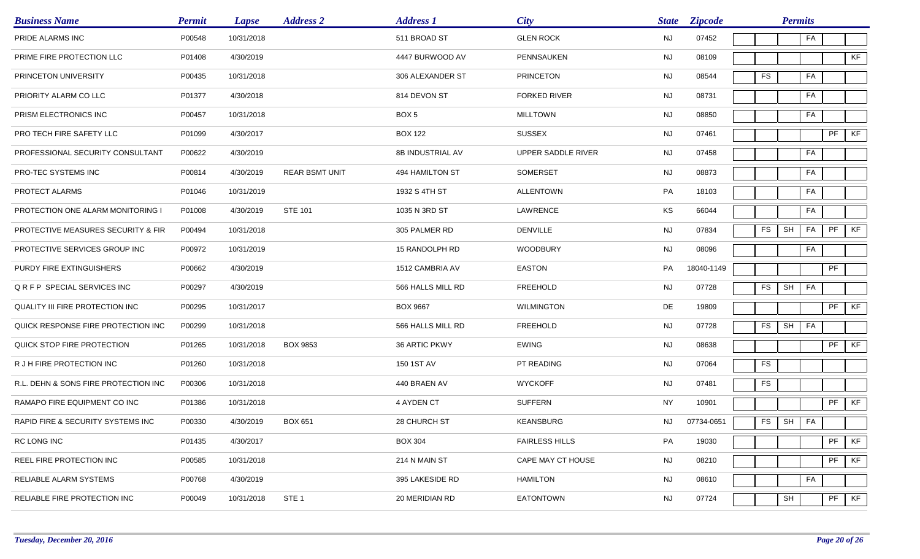| <b>Business Name</b>                 | <b>Permit</b> | <b>Lapse</b> | <b>Address 2</b>      | <b>Address 1</b>        | City                  | <b>State</b> | <b>Zipcode</b> |           | <b>Permits</b> |    |               |    |
|--------------------------------------|---------------|--------------|-----------------------|-------------------------|-----------------------|--------------|----------------|-----------|----------------|----|---------------|----|
| PRIDE ALARMS INC                     | P00548        | 10/31/2018   |                       | 511 BROAD ST            | <b>GLEN ROCK</b>      | NJ           | 07452          |           |                | FA |               |    |
| PRIME FIRE PROTECTION LLC            | P01408        | 4/30/2019    |                       | 4447 BURWOOD AV         | PENNSAUKEN            | NJ           | 08109          |           |                |    |               | KF |
| PRINCETON UNIVERSITY                 | P00435        | 10/31/2018   |                       | 306 ALEXANDER ST        | <b>PRINCETON</b>      | NJ           | 08544          | <b>FS</b> |                | FA |               |    |
| PRIORITY ALARM CO LLC                | P01377        | 4/30/2018    |                       | 814 DEVON ST            | <b>FORKED RIVER</b>   | NJ           | 08731          |           |                | FA |               |    |
| PRISM ELECTRONICS INC                | P00457        | 10/31/2018   |                       | BOX <sub>5</sub>        | <b>MILLTOWN</b>       | <b>NJ</b>    | 08850          |           |                | FA |               |    |
| PRO TECH FIRE SAFETY LLC             | P01099        | 4/30/2017    |                       | <b>BOX 122</b>          | <b>SUSSEX</b>         | NJ           | 07461          |           |                |    | PF            | KF |
| PROFESSIONAL SECURITY CONSULTANT     | P00622        | 4/30/2019    |                       | <b>8B INDUSTRIAL AV</b> | UPPER SADDLE RIVER    | NJ           | 07458          |           |                | FA |               |    |
| PRO-TEC SYSTEMS INC                  | P00814        | 4/30/2019    | <b>REAR BSMT UNIT</b> | 494 HAMILTON ST         | <b>SOMERSET</b>       | NJ           | 08873          |           |                | FA |               |    |
| PROTECT ALARMS                       | P01046        | 10/31/2019   |                       | 1932 S 4TH ST           | ALLENTOWN             | PA           | 18103          |           |                | FA |               |    |
| PROTECTION ONE ALARM MONITORING      | P01008        | 4/30/2019    | <b>STE 101</b>        | 1035 N 3RD ST           | LAWRENCE              | KS           | 66044          |           |                | FA |               |    |
| PROTECTIVE MEASURES SECURITY & FIR   | P00494        | 10/31/2018   |                       | 305 PALMER RD           | <b>DENVILLE</b>       | <b>NJ</b>    | 07834          | <b>FS</b> | <b>SH</b>      | FA | PF            | KF |
| PROTECTIVE SERVICES GROUP INC        | P00972        | 10/31/2019   |                       | 15 RANDOLPH RD          | <b>WOODBURY</b>       | <b>NJ</b>    | 08096          |           |                | FA |               |    |
| PURDY FIRE EXTINGUISHERS             | P00662        | 4/30/2019    |                       | 1512 CAMBRIA AV         | <b>EASTON</b>         | PA           | 18040-1149     |           |                |    | PF            |    |
| QRFP SPECIAL SERVICES INC            | P00297        | 4/30/2019    |                       | 566 HALLS MILL RD       | <b>FREEHOLD</b>       | NJ           | 07728          | <b>FS</b> | SH             | FA |               |    |
| QUALITY III FIRE PROTECTION INC      | P00295        | 10/31/2017   |                       | <b>BOX 9667</b>         | <b>WILMINGTON</b>     | DE           | 19809          |           |                |    | PF            | KF |
| QUICK RESPONSE FIRE PROTECTION INC   | P00299        | 10/31/2018   |                       | 566 HALLS MILL RD       | <b>FREEHOLD</b>       | <b>NJ</b>    | 07728          | FS        | SH             | FA |               |    |
| QUICK STOP FIRE PROTECTION           | P01265        | 10/31/2018   | <b>BOX 9853</b>       | 36 ARTIC PKWY           | <b>EWING</b>          | <b>NJ</b>    | 08638          |           |                |    | $\mathsf{PF}$ | KF |
| R J H FIRE PROTECTION INC            | P01260        | 10/31/2018   |                       | 150 1ST AV              | PT READING            | <b>NJ</b>    | 07064          | <b>FS</b> |                |    |               |    |
| R.L. DEHN & SONS FIRE PROTECTION INC | P00306        | 10/31/2018   |                       | 440 BRAEN AV            | <b>WYCKOFF</b>        | <b>NJ</b>    | 07481          | <b>FS</b> |                |    |               |    |
| RAMAPO FIRE EQUIPMENT CO INC         | P01386        | 10/31/2018   |                       | 4 AYDEN CT              | <b>SUFFERN</b>        | <b>NY</b>    | 10901          |           |                |    | PF            | KF |
| RAPID FIRE & SECURITY SYSTEMS INC    | P00330        | 4/30/2019    | <b>BOX 651</b>        | 28 CHURCH ST            | KEANSBURG             | NJ           | 07734-0651     | FS        | SH FA          |    |               |    |
| RC LONG INC                          | P01435        | 4/30/2017    |                       | <b>BOX 304</b>          | <b>FAIRLESS HILLS</b> | PA           | 19030          |           |                |    | PF            | KF |
| REEL FIRE PROTECTION INC             | P00585        | 10/31/2018   |                       | 214 N MAIN ST           | CAPE MAY CT HOUSE     | NJ           | 08210          |           |                |    | PF            | KF |
| RELIABLE ALARM SYSTEMS               | P00768        | 4/30/2019    |                       | 395 LAKESIDE RD         | <b>HAMILTON</b>       | <b>NJ</b>    | 08610          |           |                | FA |               |    |
| RELIABLE FIRE PROTECTION INC         | P00049        | 10/31/2018   | STE <sub>1</sub>      | 20 MERIDIAN RD          | <b>EATONTOWN</b>      | <b>NJ</b>    | 07724          |           | SH             |    | PF            | KF |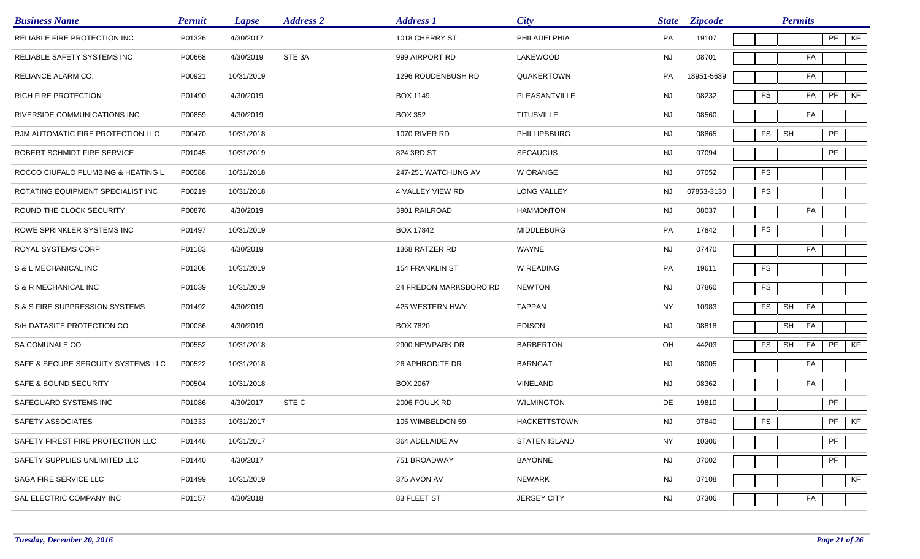| <b>Business Name</b>               | <b>Permit</b> | <b>Lapse</b> | <b>Address 2</b> | <b>Address 1</b>       | <b>City</b>          | <b>State</b> | <b>Zipcode</b> |            | <b>Permits</b>       |    |           |    |
|------------------------------------|---------------|--------------|------------------|------------------------|----------------------|--------------|----------------|------------|----------------------|----|-----------|----|
| RELIABLE FIRE PROTECTION INC       | P01326        | 4/30/2017    |                  | 1018 CHERRY ST         | PHILADELPHIA         | PA           | 19107          |            |                      |    | PF        | KF |
| RELIABLE SAFETY SYSTEMS INC        | P00668        | 4/30/2019    | STE 3A           | 999 AIRPORT RD         | LAKEWOOD             | <b>NJ</b>    | 08701          |            |                      | FA |           |    |
| RELIANCE ALARM CO.                 | P00921        | 10/31/2019   |                  | 1296 ROUDENBUSH RD     | QUAKERTOWN           | PA           | 18951-5639     |            |                      | FA |           |    |
| RICH FIRE PROTECTION               | P01490        | 4/30/2019    |                  | <b>BOX 1149</b>        | PLEASANTVILLE        | <b>NJ</b>    | 08232          | ${\sf FS}$ |                      | FA | PF        | KF |
| RIVERSIDE COMMUNICATIONS INC       | P00859        | 4/30/2019    |                  | <b>BOX 352</b>         | <b>TITUSVILLE</b>    | <b>NJ</b>    | 08560          |            |                      | FA |           |    |
| RJM AUTOMATIC FIRE PROTECTION LLC  | P00470        | 10/31/2018   |                  | 1070 RIVER RD          | <b>PHILLIPSBURG</b>  | <b>NJ</b>    | 08865          | <b>FS</b>  | SH                   |    | PF        |    |
| ROBERT SCHMIDT FIRE SERVICE        | P01045        | 10/31/2019   |                  | 824 3RD ST             | <b>SECAUCUS</b>      | <b>NJ</b>    | 07094          |            |                      |    | PF        |    |
| ROCCO CIUFALO PLUMBING & HEATING L | P00588        | 10/31/2018   |                  | 247-251 WATCHUNG AV    | <b>W ORANGE</b>      | <b>NJ</b>    | 07052          | <b>FS</b>  |                      |    |           |    |
| ROTATING EQUIPMENT SPECIALIST INC  | P00219        | 10/31/2018   |                  | 4 VALLEY VIEW RD       | <b>LONG VALLEY</b>   | <b>NJ</b>    | 07853-3130     | <b>FS</b>  |                      |    |           |    |
| ROUND THE CLOCK SECURITY           | P00876        | 4/30/2019    |                  | 3901 RAILROAD          | <b>HAMMONTON</b>     | <b>NJ</b>    | 08037          |            |                      | FA |           |    |
| ROWE SPRINKLER SYSTEMS INC         | P01497        | 10/31/2019   |                  | <b>BOX 17842</b>       | <b>MIDDLEBURG</b>    | PA           | 17842          | FS         |                      |    |           |    |
| ROYAL SYSTEMS CORP                 | P01183        | 4/30/2019    |                  | 1368 RATZER RD         | WAYNE                | NJ           | 07470          |            |                      | FA |           |    |
| S & L MECHANICAL INC               | P01208        | 10/31/2019   |                  | <b>154 FRANKLIN ST</b> | W READING            | PA           | 19611          | <b>FS</b>  |                      |    |           |    |
| S & R MECHANICAL INC               | P01039        | 10/31/2019   |                  | 24 FREDON MARKSBORO RD | <b>NEWTON</b>        | NJ           | 07860          | <b>FS</b>  |                      |    |           |    |
| S & S FIRE SUPPRESSION SYSTEMS     | P01492        | 4/30/2019    |                  | 425 WESTERN HWY        | <b>TAPPAN</b>        | <b>NY</b>    | 10983          | <b>FS</b>  | $\mathsf{SH}\xspace$ | FA |           |    |
| S/H DATASITE PROTECTION CO         | P00036        | 4/30/2019    |                  | <b>BOX 7820</b>        | <b>EDISON</b>        | <b>NJ</b>    | 08818          |            | SH                   | FA |           |    |
| SA COMUNALE CO                     | P00552        | 10/31/2018   |                  | 2900 NEWPARK DR        | <b>BARBERTON</b>     | OH           | 44203          | FS         | $\mathsf{SH}\xspace$ | FA | PF        | KF |
| SAFE & SECURE SERCUITY SYSTEMS LLC | P00522        | 10/31/2018   |                  | 26 APHRODITE DR        | <b>BARNGAT</b>       | <b>NJ</b>    | 08005          |            |                      | FA |           |    |
| SAFE & SOUND SECURITY              | P00504        | 10/31/2018   |                  | <b>BOX 2067</b>        | VINELAND             | <b>NJ</b>    | 08362          |            |                      | FA |           |    |
| SAFEGUARD SYSTEMS INC              | P01086        | 4/30/2017    | STE C            | 2006 FOULK RD          | <b>WILMINGTON</b>    | DE           | 19810          |            |                      |    | PF        |    |
| SAFETY ASSOCIATES                  | P01333        | 10/31/2017   |                  | 105 WIMBELDON 59       | <b>HACKETTSTOWN</b>  | NJ           | 07840          | ${\sf FS}$ |                      |    | $PF$ $KF$ |    |
| SAFETY FIREST FIRE PROTECTION LLC  | P01446        | 10/31/2017   |                  | 364 ADELAIDE AV        | <b>STATEN ISLAND</b> | <b>NY</b>    | 10306          |            |                      |    | PF        |    |
| SAFETY SUPPLIES UNLIMITED LLC      | P01440        | 4/30/2017    |                  | 751 BROADWAY           | <b>BAYONNE</b>       | <b>NJ</b>    | 07002          |            |                      |    | PF        |    |
| SAGA FIRE SERVICE LLC              | P01499        | 10/31/2019   |                  | 375 AVON AV            | NEWARK               | NJ           | 07108          |            |                      |    |           | KF |
| SAL ELECTRIC COMPANY INC           | P01157        | 4/30/2018    |                  | 83 FLEET ST            | <b>JERSEY CITY</b>   | <b>NJ</b>    | 07306          |            |                      | FA |           |    |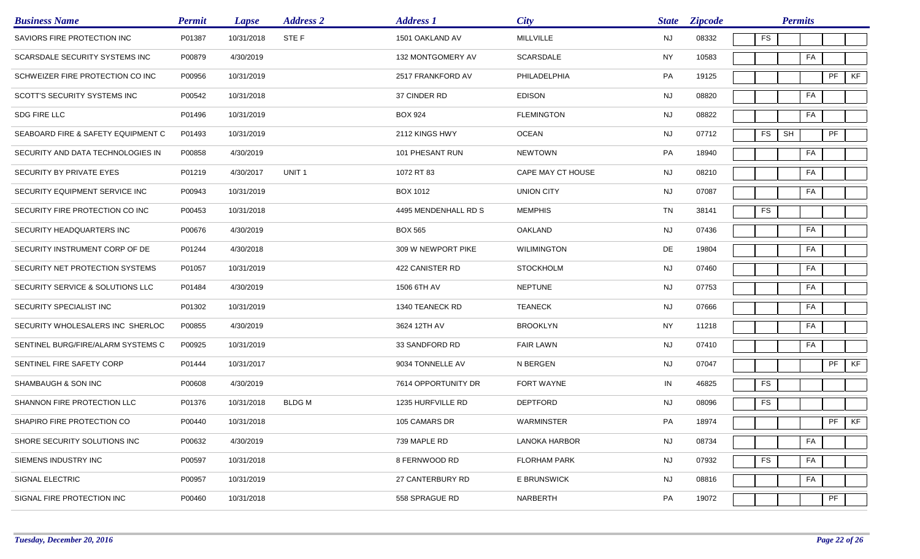| <b>Business Name</b>               | <b>Permit</b> | <b>Lapse</b> | <b>Address 2</b>  | <b>Address 1</b>     | <b>City</b>          | <b>State</b> | <b>Zipcode</b> |           | <b>Permits</b> |         |    |
|------------------------------------|---------------|--------------|-------------------|----------------------|----------------------|--------------|----------------|-----------|----------------|---------|----|
| SAVIORS FIRE PROTECTION INC        | P01387        | 10/31/2018   | STE F             | 1501 OAKLAND AV      | <b>MILLVILLE</b>     | <b>NJ</b>    | 08332          | <b>FS</b> |                |         |    |
| SCARSDALE SECURITY SYSTEMS INC     | P00879        | 4/30/2019    |                   | 132 MONTGOMERY AV    | SCARSDALE            | <b>NY</b>    | 10583          |           | FA             |         |    |
| SCHWEIZER FIRE PROTECTION CO INC   | P00956        | 10/31/2019   |                   | 2517 FRANKFORD AV    | PHILADELPHIA         | PA           | 19125          |           |                | PF      | KF |
| SCOTT'S SECURITY SYSTEMS INC       | P00542        | 10/31/2018   |                   | 37 CINDER RD         | <b>EDISON</b>        | <b>NJ</b>    | 08820          |           | FA             |         |    |
| SDG FIRE LLC                       | P01496        | 10/31/2019   |                   | <b>BOX 924</b>       | <b>FLEMINGTON</b>    | <b>NJ</b>    | 08822          |           | FA             |         |    |
| SEABOARD FIRE & SAFETY EQUIPMENT C | P01493        | 10/31/2019   |                   | 2112 KINGS HWY       | <b>OCEAN</b>         | <b>NJ</b>    | 07712          | <b>FS</b> | SH             | PF      |    |
| SECURITY AND DATA TECHNOLOGIES IN  | P00858        | 4/30/2019    |                   | 101 PHESANT RUN      | <b>NEWTOWN</b>       | PA           | 18940          |           | FA             |         |    |
| SECURITY BY PRIVATE EYES           | P01219        | 4/30/2017    | UNIT <sub>1</sub> | 1072 RT 83           | CAPE MAY CT HOUSE    | <b>NJ</b>    | 08210          |           | FA             |         |    |
| SECURITY EQUIPMENT SERVICE INC     | P00943        | 10/31/2019   |                   | BOX 1012             | <b>UNION CITY</b>    | <b>NJ</b>    | 07087          |           | FA             |         |    |
| SECURITY FIRE PROTECTION CO INC    | P00453        | 10/31/2018   |                   | 4495 MENDENHALL RD S | <b>MEMPHIS</b>       | TN           | 38141          | <b>FS</b> |                |         |    |
| SECURITY HEADQUARTERS INC          | P00676        | 4/30/2019    |                   | <b>BOX 565</b>       | <b>OAKLAND</b>       | <b>NJ</b>    | 07436          |           | FA             |         |    |
| SECURITY INSTRUMENT CORP OF DE     | P01244        | 4/30/2018    |                   | 309 W NEWPORT PIKE   | <b>WILIMINGTON</b>   | DE           | 19804          |           | FA             |         |    |
| SECURITY NET PROTECTION SYSTEMS    | P01057        | 10/31/2019   |                   | 422 CANISTER RD      | <b>STOCKHOLM</b>     | <b>NJ</b>    | 07460          |           | FA             |         |    |
| SECURITY SERVICE & SOLUTIONS LLC   | P01484        | 4/30/2019    |                   | 1506 6TH AV          | <b>NEPTUNE</b>       | <b>NJ</b>    | 07753          |           | FA             |         |    |
| SECURITY SPECIALIST INC            | P01302        | 10/31/2019   |                   | 1340 TEANECK RD      | <b>TEANECK</b>       | <b>NJ</b>    | 07666          |           | FA             |         |    |
| SECURITY WHOLESALERS INC SHERLOC   | P00855        | 4/30/2019    |                   | 3624 12TH AV         | <b>BROOKLYN</b>      | <b>NY</b>    | 11218          |           | FA             |         |    |
| SENTINEL BURG/FIRE/ALARM SYSTEMS C | P00925        | 10/31/2019   |                   | 33 SANDFORD RD       | <b>FAIR LAWN</b>     | <b>NJ</b>    | 07410          |           | FA             |         |    |
| SENTINEL FIRE SAFETY CORP          | P01444        | 10/31/2017   |                   | 9034 TONNELLE AV     | N BERGEN             | <b>NJ</b>    | 07047          |           |                | PF      | KF |
| SHAMBAUGH & SON INC                | P00608        | 4/30/2019    |                   | 7614 OPPORTUNITY DR  | FORT WAYNE           | IN           | 46825          | <b>FS</b> |                |         |    |
| SHANNON FIRE PROTECTION LLC        | P01376        | 10/31/2018   | <b>BLDGM</b>      | 1235 HURFVILLE RD    | <b>DEPTFORD</b>      | NJ.          | 08096          | FS        |                |         |    |
| SHAPIRO FIRE PROTECTION CO         | P00440        | 10/31/2018   |                   | 105 CAMARS DR        | WARMINSTER           | PA           | 18974          |           |                | $PF$ KF |    |
| SHORE SECURITY SOLUTIONS INC       | P00632        | 4/30/2019    |                   | 739 MAPLE RD         | <b>LANOKA HARBOR</b> | <b>NJ</b>    | 08734          |           | FA             |         |    |
| SIEMENS INDUSTRY INC               | P00597        | 10/31/2018   |                   | 8 FERNWOOD RD        | <b>FLORHAM PARK</b>  | <b>NJ</b>    | 07932          | <b>FS</b> | FA             |         |    |
| <b>SIGNAL ELECTRIC</b>             | P00957        | 10/31/2019   |                   | 27 CANTERBURY RD     | <b>E BRUNSWICK</b>   | <b>NJ</b>    | 08816          |           | FA             |         |    |
| SIGNAL FIRE PROTECTION INC         | P00460        | 10/31/2018   |                   | 558 SPRAGUE RD       | NARBERTH             | PA           | 19072          |           |                | PF      |    |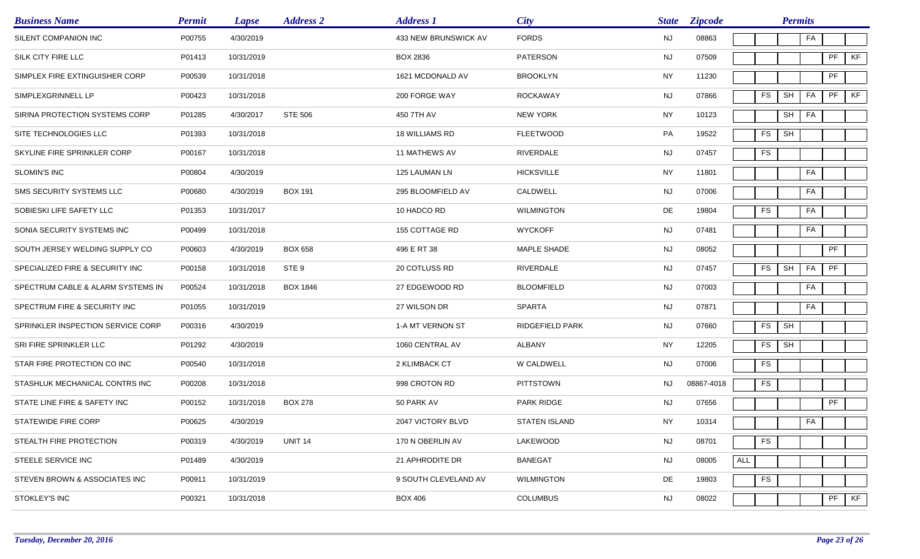| <b>Business Name</b>              | <b>Permit</b> | <b>Lapse</b> | <b>Address 2</b> | <b>Address 1</b>      | City              | <b>State</b> | <b>Zipcode</b> |     |           | <b>Permits</b> |    |    |    |
|-----------------------------------|---------------|--------------|------------------|-----------------------|-------------------|--------------|----------------|-----|-----------|----------------|----|----|----|
| SILENT COMPANION INC              | P00755        | 4/30/2019    |                  | 433 NEW BRUNSWICK AV  | <b>FORDS</b>      | <b>NJ</b>    | 08863          |     |           |                | FA |    |    |
| SILK CITY FIRE LLC                | P01413        | 10/31/2019   |                  | <b>BOX 2836</b>       | <b>PATERSON</b>   | <b>NJ</b>    | 07509          |     |           |                |    | PF | KF |
| SIMPLEX FIRE EXTINGUISHER CORP    | P00539        | 10/31/2018   |                  | 1621 MCDONALD AV      | <b>BROOKLYN</b>   | <b>NY</b>    | 11230          |     |           |                |    | PF |    |
| SIMPLEXGRINNELL LP                | P00423        | 10/31/2018   |                  | 200 FORGE WAY         | <b>ROCKAWAY</b>   | <b>NJ</b>    | 07866          |     | <b>FS</b> | SH             | FA | PF | KF |
| SIRINA PROTECTION SYSTEMS CORP    | P01285        | 4/30/2017    | <b>STE 506</b>   | 450 7TH AV            | <b>NEW YORK</b>   | <b>NY</b>    | 10123          |     |           | SH             | FA |    |    |
| SITE TECHNOLOGIES LLC             | P01393        | 10/31/2018   |                  | <b>18 WILLIAMS RD</b> | <b>FLEETWOOD</b>  | PA           | 19522          |     | <b>FS</b> | SH             |    |    |    |
| SKYLINE FIRE SPRINKLER CORP       | P00167        | 10/31/2018   |                  | <b>11 MATHEWS AV</b>  | RIVERDALE         | <b>NJ</b>    | 07457          |     | <b>FS</b> |                |    |    |    |
| SLOMIN'S INC                      | P00804        | 4/30/2019    |                  | 125 LAUMAN LN         | <b>HICKSVILLE</b> | <b>NY</b>    | 11801          |     |           |                | FA |    |    |
| SMS SECURITY SYSTEMS LLC          | P00680        | 4/30/2019    | <b>BOX 191</b>   | 295 BLOOMFIELD AV     | CALDWELL          | <b>NJ</b>    | 07006          |     |           |                | FA |    |    |
| SOBIESKI LIFE SAFETY LLC          | P01353        | 10/31/2017   |                  | 10 HADCO RD           | <b>WILMINGTON</b> | DE           | 19804          |     | <b>FS</b> |                | FA |    |    |
| SONIA SECURITY SYSTEMS INC        | P00499        | 10/31/2018   |                  | <b>155 COTTAGE RD</b> | <b>WYCKOFF</b>    | <b>NJ</b>    | 07481          |     |           |                | FA |    |    |
| SOUTH JERSEY WELDING SUPPLY CO    | P00603        | 4/30/2019    | <b>BOX 658</b>   | 496 E RT 38           | MAPLE SHADE       | <b>NJ</b>    | 08052          |     |           |                |    | PF |    |
| SPECIALIZED FIRE & SECURITY INC   | P00158        | 10/31/2018   | STE 9            | 20 COTLUSS RD         | RIVERDALE         | <b>NJ</b>    | 07457          |     | <b>FS</b> | <b>SH</b>      | FA | PF |    |
| SPECTRUM CABLE & ALARM SYSTEMS IN | P00524        | 10/31/2018   | <b>BOX 1846</b>  | 27 EDGEWOOD RD        | <b>BLOOMFIELD</b> | <b>NJ</b>    | 07003          |     |           |                | FA |    |    |
| SPECTRUM FIRE & SECURITY INC      | P01055        | 10/31/2019   |                  | 27 WILSON DR          | <b>SPARTA</b>     | <b>NJ</b>    | 07871          |     |           |                | FA |    |    |
| SPRINKLER INSPECTION SERVICE CORP | P00316        | 4/30/2019    |                  | 1-A MT VERNON ST      | RIDGEFIELD PARK   | <b>NJ</b>    | 07660          |     | FS        | SH             |    |    |    |
| SRI FIRE SPRINKLER LLC            | P01292        | 4/30/2019    |                  | 1060 CENTRAL AV       | <b>ALBANY</b>     | <b>NY</b>    | 12205          |     | <b>FS</b> | <b>SH</b>      |    |    |    |
| STAR FIRE PROTECTION CO INC       | P00540        | 10/31/2018   |                  | 2 KLIMBACK CT         | W CALDWELL        | <b>NJ</b>    | 07006          |     | <b>FS</b> |                |    |    |    |
| STASHLUK MECHANICAL CONTRS INC    | P00208        | 10/31/2018   |                  | 998 CROTON RD         | <b>PITTSTOWN</b>  | NJ           | 08867-4018     |     | <b>FS</b> |                |    |    |    |
| STATE LINE FIRE & SAFETY INC      | P00152        | 10/31/2018   | <b>BOX 278</b>   | 50 PARK AV            | PARK RIDGE        | NJ           | 07656          |     |           |                |    | PF |    |
| STATEWIDE FIRE CORP               | P00625        | 4/30/2019    |                  | 2047 VICTORY BLVD     | STATEN ISLAND     | <b>NY</b>    | 10314          |     |           |                | FA |    |    |
| STEALTH FIRE PROTECTION           | P00319        | 4/30/2019    | <b>UNIT 14</b>   | 170 N OBERLIN AV      | <b>LAKEWOOD</b>   | <b>NJ</b>    | 08701          |     | FS        |                |    |    |    |
| STEELE SERVICE INC                | P01489        | 4/30/2019    |                  | 21 APHRODITE DR       | <b>BANEGAT</b>    | <b>NJ</b>    | 08005          | ALL |           |                |    |    |    |
| STEVEN BROWN & ASSOCIATES INC     | P00911        | 10/31/2019   |                  | 9 SOUTH CLEVELAND AV  | <b>WILMINGTON</b> | DE           | 19803          |     | <b>FS</b> |                |    |    |    |
| STOKLEY'S INC                     | P00321        | 10/31/2018   |                  | <b>BOX 406</b>        | <b>COLUMBUS</b>   | <b>NJ</b>    | 08022          |     |           |                |    | PF | KF |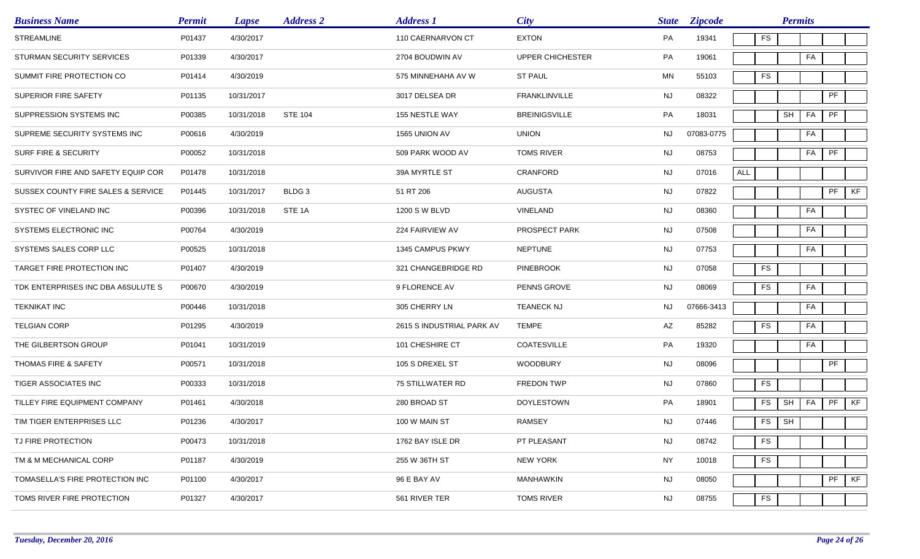| <b>Business Name</b>               | <b>Permit</b> | <b>Lapse</b> | <b>Address 2</b>  | <b>Address 1</b>          | City                 | <b>State</b> | <b>Zipcode</b> |            |    | <b>Permits</b>             |    |                            |    |
|------------------------------------|---------------|--------------|-------------------|---------------------------|----------------------|--------------|----------------|------------|----|----------------------------|----|----------------------------|----|
| <b>STREAMLINE</b>                  | P01437        | 4/30/2017    |                   | 110 CAERNARVON CT         | <b>EXTON</b>         | PA           | 19341          | <b>FS</b>  |    |                            |    |                            |    |
| STURMAN SECURITY SERVICES          | P01339        | 4/30/2017    |                   | 2704 BOUDWIN AV           | UPPER CHICHESTER     | PA           | 19061          |            |    |                            | FA |                            |    |
| SUMMIT FIRE PROTECTION CO          | P01414        | 4/30/2019    |                   | 575 MINNEHAHA AV W        | <b>ST PAUL</b>       | MN           | 55103          | <b>FS</b>  |    |                            |    |                            |    |
| SUPERIOR FIRE SAFETY               | P01135        | 10/31/2017   |                   | 3017 DELSEA DR            | <b>FRANKLINVILLE</b> | NJ           | 08322          |            |    |                            |    | PF                         |    |
| SUPPRESSION SYSTEMS INC            | P00385        | 10/31/2018   | <b>STE 104</b>    | 155 NESTLE WAY            | <b>BREINIGSVILLE</b> | PA           | 18031          |            |    | $\mathsf{SH}\xspace$<br>FA |    | $\ensuremath{\mathsf{PF}}$ |    |
| SUPREME SECURITY SYSTEMS INC       | P00616        | 4/30/2019    |                   | 1565 UNION AV             | <b>UNION</b>         | <b>NJ</b>    | 07083-0775     |            |    |                            | FA |                            |    |
| SURF FIRE & SECURITY               | P00052        | 10/31/2018   |                   | 509 PARK WOOD AV          | <b>TOMS RIVER</b>    | <b>NJ</b>    | 08753          |            |    | FA                         |    | $\ensuremath{\mathsf{PF}}$ |    |
| SURVIVOR FIRE AND SAFETY EQUIP COR | P01478        | 10/31/2018   |                   | 39A MYRTLE ST             | <b>CRANFORD</b>      | <b>NJ</b>    | 07016          | <b>ALL</b> |    |                            |    |                            |    |
| SUSSEX COUNTY FIRE SALES & SERVICE | P01445        | 10/31/2017   | BLDG <sub>3</sub> | 51 RT 206                 | AUGUSTA              | NJ           | 07822          |            |    |                            |    | PF                         | KF |
| SYSTEC OF VINELAND INC             | P00396        | 10/31/2018   | STE <sub>1A</sub> | 1200 S W BLVD             | VINELAND             | <b>NJ</b>    | 08360          |            |    |                            | FA |                            |    |
| SYSTEMS ELECTRONIC INC             | P00764        | 4/30/2019    |                   | 224 FAIRVIEW AV           | PROSPECT PARK        | NJ           | 07508          |            |    |                            | FA |                            |    |
| SYSTEMS SALES CORP LLC             | P00525        | 10/31/2018   |                   | 1345 CAMPUS PKWY          | <b>NEPTUNE</b>       | NJ           | 07753          |            |    | FA                         |    |                            |    |
| TARGET FIRE PROTECTION INC         | P01407        | 4/30/2019    |                   | 321 CHANGEBRIDGE RD       | <b>PINEBROOK</b>     | <b>NJ</b>    | 07058          | <b>FS</b>  |    |                            |    |                            |    |
| TDK ENTERPRISES INC DBA A6SULUTE S | P00670        | 4/30/2019    |                   | 9 FLORENCE AV             | PENNS GROVE          | NJ           | 08069          | <b>FS</b>  |    | FA                         |    |                            |    |
| <b>TEKNIKAT INC</b>                | P00446        | 10/31/2018   |                   | 305 CHERRY LN             | <b>TEANECK NJ</b>    | NJ.          | 07666-3413     |            |    |                            | FA |                            |    |
| <b>TELGIAN CORP</b>                | P01295        | 4/30/2019    |                   | 2615 S INDUSTRIAL PARK AV | <b>TEMPE</b>         | AZ           | 85282          | <b>FS</b>  |    | FA                         |    |                            |    |
| THE GILBERTSON GROUP               | P01041        | 10/31/2019   |                   | 101 CHESHIRE CT           | COATESVILLE          | PA           | 19320          |            |    | FA                         |    |                            |    |
| THOMAS FIRE & SAFETY               | P00571        | 10/31/2018   |                   | 105 S DREXEL ST           | <b>WOODBURY</b>      | <b>NJ</b>    | 08096          |            |    |                            |    | PF                         |    |
| TIGER ASSOCIATES INC               | P00333        | 10/31/2018   |                   | 75 STILLWATER RD          | <b>FREDON TWP</b>    | <b>NJ</b>    | 07860          | FS         |    |                            |    |                            |    |
| TILLEY FIRE EQUIPMENT COMPANY      | P01461        | 4/30/2018    |                   | 280 BROAD ST              | <b>DOYLESTOWN</b>    | PA           | 18901          | FS         |    | FA<br>SH                   |    | PF                         | KF |
| TIM TIGER ENTERPRISES LLC          | P01236        | 4/30/2017    |                   | 100 W MAIN ST             | RAMSEY               | <b>NJ</b>    | 07446          |            | FS | SH                         |    |                            |    |
| TJ FIRE PROTECTION                 | P00473        | 10/31/2018   |                   | 1762 BAY ISLE DR          | PT PLEASANT          | <b>NJ</b>    | 08742          | <b>FS</b>  |    |                            |    |                            |    |
| TM & M MECHANICAL CORP             | P01187        | 4/30/2019    |                   | 255 W 36TH ST             | NEW YORK             | NY           | 10018          | FS         |    |                            |    |                            |    |
| TOMASELLA'S FIRE PROTECTION INC    | P01100        | 4/30/2017    |                   | 96 E BAY AV               | MANHAWKIN            | NJ           | 08050          |            |    |                            |    | PF                         | KF |
| TOMS RIVER FIRE PROTECTION         | P01327        | 4/30/2017    |                   | 561 RIVER TER             | <b>TOMS RIVER</b>    | <b>NJ</b>    | 08755          | ${\sf FS}$ |    |                            |    |                            |    |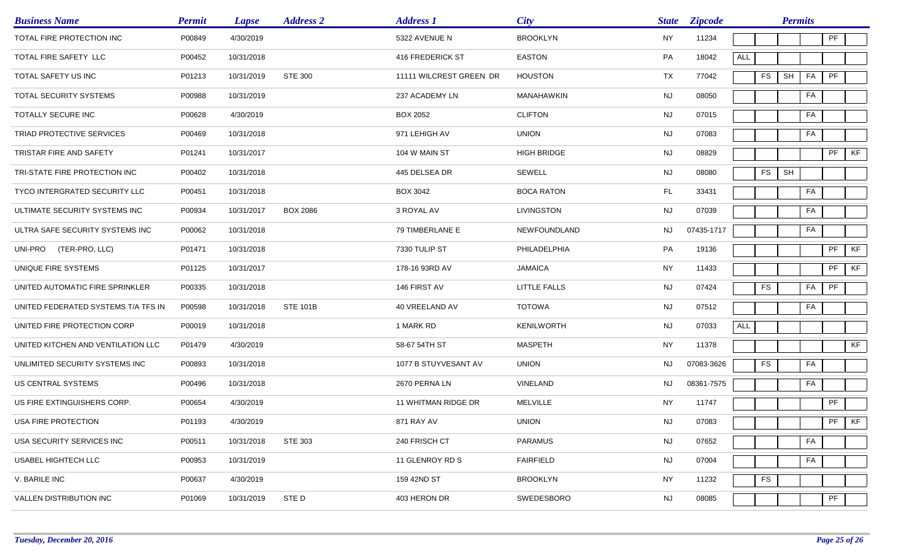| <b>Business Name</b>                | <b>Permit</b> | <b>Lapse</b> | <b>Address 2</b> | <b>Address 1</b>        | <b>City</b>        | <b>State</b> | <b>Zipcode</b> |            |            | <b>Permits</b> |    |               |    |
|-------------------------------------|---------------|--------------|------------------|-------------------------|--------------------|--------------|----------------|------------|------------|----------------|----|---------------|----|
| TOTAL FIRE PROTECTION INC           | P00849        | 4/30/2019    |                  | 5322 AVENUE N           | <b>BROOKLYN</b>    | <b>NY</b>    | 11234          |            |            |                |    | PF            |    |
| TOTAL FIRE SAFETY LLC               | P00452        | 10/31/2018   |                  | 416 FREDERICK ST        | <b>EASTON</b>      | PA           | 18042          | <b>ALL</b> |            |                |    |               |    |
| TOTAL SAFETY US INC                 | P01213        | 10/31/2019   | <b>STE 300</b>   | 11111 WILCREST GREEN DR | <b>HOUSTON</b>     | TX           | 77042          |            | <b>FS</b>  | SH             | FA | PF            |    |
| TOTAL SECURITY SYSTEMS              | P00988        | 10/31/2019   |                  | 237 ACADEMY LN          | MANAHAWKIN         | NJ           | 08050          |            |            |                | FA |               |    |
| TOTALLY SECURE INC                  | P00628        | 4/30/2019    |                  | <b>BOX 2052</b>         | <b>CLIFTON</b>     | <b>NJ</b>    | 07015          |            |            |                | FA |               |    |
| TRIAD PROTECTIVE SERVICES           | P00469        | 10/31/2018   |                  | 971 LEHIGH AV           | <b>UNION</b>       | NJ           | 07083          |            |            |                | FA |               |    |
| TRISTAR FIRE AND SAFETY             | P01241        | 10/31/2017   |                  | 104 W MAIN ST           | <b>HIGH BRIDGE</b> | <b>NJ</b>    | 08829          |            |            |                |    | $\mathsf{PF}$ | KF |
| TRI-STATE FIRE PROTECTION INC       | P00402        | 10/31/2018   |                  | 445 DELSEA DR           | SEWELL             | <b>NJ</b>    | 08080          |            | <b>FS</b>  | <b>SH</b>      |    |               |    |
| TYCO INTERGRATED SECURITY LLC       | P00451        | 10/31/2018   |                  | BOX 3042                | <b>BOCA RATON</b>  | FL.          | 33431          |            |            |                | FA |               |    |
| ULTIMATE SECURITY SYSTEMS INC       | P00934        | 10/31/2017   | <b>BOX 2086</b>  | 3 ROYAL AV              | LIVINGSTON         | <b>NJ</b>    | 07039          |            |            |                | FA |               |    |
| ULTRA SAFE SECURITY SYSTEMS INC     | P00062        | 10/31/2018   |                  | 79 TIMBERLANE E         | NEWFOUNDLAND       | NJ.          | 07435-1717     |            |            |                | FA |               |    |
| (TER-PRO, LLC)<br>UNI-PRO           | P01471        | 10/31/2018   |                  | 7330 TULIP ST           | PHILADELPHIA       | PA           | 19136          |            |            |                |    | PF            | KF |
| UNIQUE FIRE SYSTEMS                 | P01125        | 10/31/2017   |                  | 178-16 93RD AV          | <b>JAMAICA</b>     | <b>NY</b>    | 11433          |            |            |                |    | PF            | KF |
| UNITED AUTOMATIC FIRE SPRINKLER     | P00335        | 10/31/2018   |                  | 146 FIRST AV            | LITTLE FALLS       | <b>NJ</b>    | 07424          |            | <b>FS</b>  |                | FA | PF            |    |
| UNITED FEDERATED SYSTEMS T/A TFS IN | P00598        | 10/31/2018   | <b>STE 101B</b>  | 40 VREELAND AV          | <b>TOTOWA</b>      | NJ           | 07512          |            |            |                | FA |               |    |
| UNITED FIRE PROTECTION CORP         | P00019        | 10/31/2018   |                  | 1 MARK RD               | <b>KENILWORTH</b>  | <b>NJ</b>    | 07033          | <b>ALL</b> |            |                |    |               |    |
| UNITED KITCHEN AND VENTILATION LLC  | P01479        | 4/30/2019    |                  | 58-67 54TH ST           | <b>MASPETH</b>     | <b>NY</b>    | 11378          |            |            |                |    |               | KF |
| UNLIMITED SECURITY SYSTEMS INC      | P00893        | 10/31/2018   |                  | 1077 B STUYVESANT AV    | <b>UNION</b>       | NJ.          | 07083-3626     |            | FS         |                | FA |               |    |
| US CENTRAL SYSTEMS                  | P00496        | 10/31/2018   |                  | 2670 PERNA LN           | VINELAND           | <b>NJ</b>    | 08361-7575     |            |            |                | FA |               |    |
| US FIRE EXTINGUISHERS CORP.         | P00654        | 4/30/2019    |                  | 11 WHITMAN RIDGE DR     | <b>MELVILLE</b>    | NY           | 11747          |            |            |                |    | PF            |    |
| USA FIRE PROTECTION                 | P01193        | 4/30/2019    |                  | 871 RAY AV              | <b>UNION</b>       | NJ           | 07083          |            |            |                |    | $PF$ KF       |    |
| USA SECURITY SERVICES INC           | P00511        | 10/31/2018   | STE 303          | 240 FRISCH CT           | <b>PARAMUS</b>     | <b>NJ</b>    | 07652          |            |            |                | FA |               |    |
| USABEL HIGHTECH LLC                 | P00953        | 10/31/2019   |                  | 11 GLENROY RD S         | <b>FAIRFIELD</b>   | <b>NJ</b>    | 07004          |            |            |                | FA |               |    |
| V. BARILE INC                       | P00637        | 4/30/2019    |                  | 159 42ND ST             | <b>BROOKLYN</b>    | <b>NY</b>    | 11232          |            | ${\sf FS}$ |                |    |               |    |
| VALLEN DISTRIBUTION INC             | P01069        | 10/31/2019   | STE D            | 403 HERON DR            | SWEDESBORO         | <b>NJ</b>    | 08085          |            |            |                |    | PF            |    |